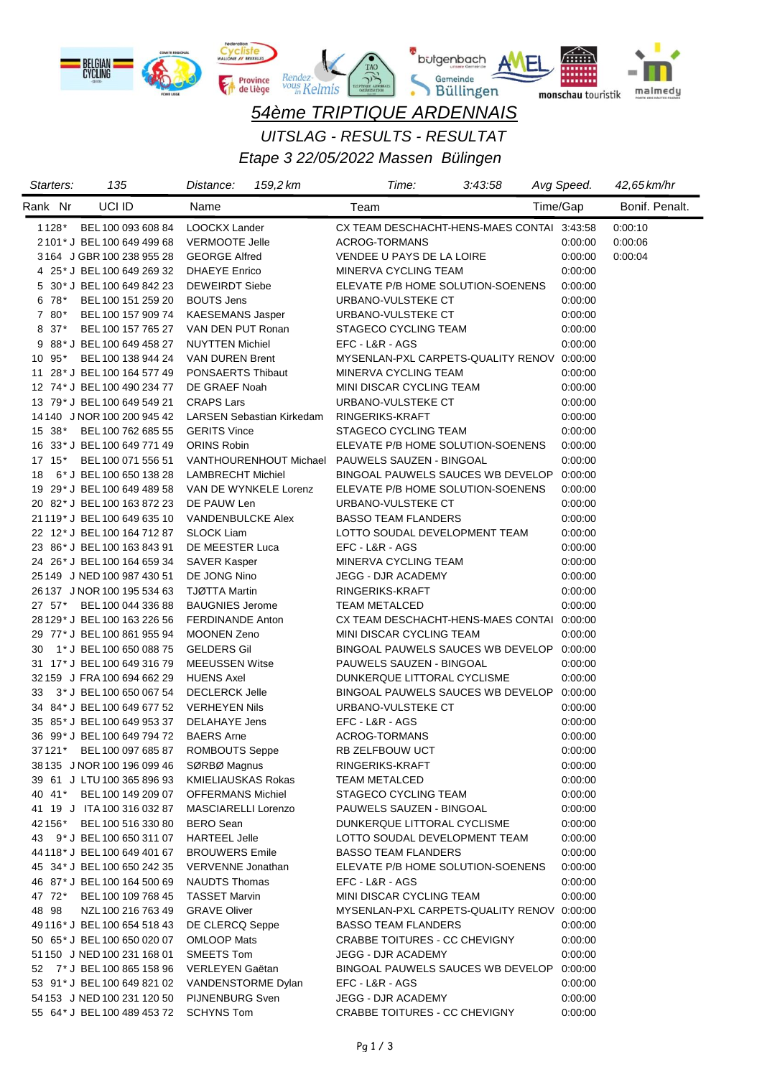

*UITSLAG - RESULTS - RESULTAT*

| UCI ID<br>Rank Nr<br>Name<br>Time/Gap<br>Bonif. Penalt.<br>Team<br>1128*<br>BEL 100 093 608 84<br>LOOCKX Lander<br>CX TEAM DESCHACHT-HENS-MAES CONTAI 3:43:58<br>0:00:10<br>2101* J BEL 100 649 499 68<br>VERMOOTE Jelle<br>ACROG-TORMANS<br>0:00:06<br>0.00:00<br>3164 J GBR 100 238 955 28<br><b>GEORGE Alfred</b><br>VENDEE U PAYS DE LA LOIRE<br>0:00:00<br>0:00:04<br>4 25 * J BEL 100 649 269 32<br><b>DHAEYE</b> Enrico<br>MINERVA CYCLING TEAM<br>0:00:00<br>5 30* J BEL 100 649 842 23<br><b>DEWEIRDT Siebe</b><br>ELEVATE P/B HOME SOLUTION-SOENENS<br>0:00:00<br>$678*$<br><b>BOUTS Jens</b><br>BEL 100 151 259 20<br>URBANO-VULSTEKE CT<br>0:00:00<br>$780*$<br><b>KAESEMANS Jasper</b><br>BEL 100 157 909 74<br>URBANO-VULSTEKE CT<br>0:00:00<br>$8\,37*$<br>BEL 100 157 765 27<br>VAN DEN PUT Ronan<br>STAGECO CYCLING TEAM<br>0:00:00<br>9 88* J BEL 100 649 458 27<br>EFC - L&R - AGS<br><b>NUYTTEN Michiel</b><br>0:00:00<br>BEL 100 138 944 24<br><b>VAN DUREN Brent</b><br>$10.95*$<br>MYSENLAN-PXL CARPETS-QUALITY RENOV 0:00:00<br>PONSAERTS Thibaut<br>11 28 * J BEL 100 164 577 49<br>MINERVA CYCLING TEAM<br>0:00:00<br>12 74* J BEL 100 490 234 77<br>DE GRAEF Noah<br>MINI DISCAR CYCLING TEAM<br>0:00:00<br>13 79* J BEL 100 649 549 21<br><b>CRAPS Lars</b><br>URBANO-VULSTEKE CT<br>0:00:00<br><b>LARSEN Sebastian Kirkedam</b><br>RINGERIKS-KRAFT<br>14 140 J NOR 100 200 945 42<br>0:00:00<br>15 38*<br>BEL 100 762 685 55<br><b>GERITS Vince</b><br><b>STAGECO CYCLING TEAM</b><br>0:00:00<br><b>ORINS Robin</b><br>ELEVATE P/B HOME SOLUTION-SOENENS<br>16 33* J BEL 100 649 771 49<br>0:00:00<br>VANTHOURENHOUT Michael<br>PAUWELS SAUZEN - BINGOAL<br>17 15*<br>BEL 100 071 556 51<br>0:00:00<br>6* J BEL 100 650 138 28<br><b>LAMBRECHT Michiel</b><br>BINGOAL PAUWELS SAUCES WB DEVELOP 0:00:00<br>18<br>19 29* J BEL 100 649 489 58<br>VAN DE WYNKELE Lorenz<br>ELEVATE P/B HOME SOLUTION-SOENENS<br>0:00:00<br>20 82* J BEL 100 163 872 23<br>DE PAUW Len<br>URBANO-VULSTEKE CT<br>0:00:00<br>21 119* J BEL 100 649 635 10<br>VANDENBULCKE Alex<br><b>BASSO TEAM FLANDERS</b><br>0:00:00<br>22 12* J BEL 100 164 712 87<br><b>SLOCK Liam</b><br>LOTTO SOUDAL DEVELOPMENT TEAM<br>0:00:00<br>DE MEESTER Luca<br>23 86* J BEL 100 163 843 91<br>EFC - L&R - AGS<br>0:00:00<br>24 26 * J BEL 100 164 659 34<br><b>SAVER Kasper</b><br>MINERVA CYCLING TEAM<br>0:00:00 |  |
|-----------------------------------------------------------------------------------------------------------------------------------------------------------------------------------------------------------------------------------------------------------------------------------------------------------------------------------------------------------------------------------------------------------------------------------------------------------------------------------------------------------------------------------------------------------------------------------------------------------------------------------------------------------------------------------------------------------------------------------------------------------------------------------------------------------------------------------------------------------------------------------------------------------------------------------------------------------------------------------------------------------------------------------------------------------------------------------------------------------------------------------------------------------------------------------------------------------------------------------------------------------------------------------------------------------------------------------------------------------------------------------------------------------------------------------------------------------------------------------------------------------------------------------------------------------------------------------------------------------------------------------------------------------------------------------------------------------------------------------------------------------------------------------------------------------------------------------------------------------------------------------------------------------------------------------------------------------------------------------------------------------------------------------------------------------------------------------------------------------------------------------------------------------------------------------------------------------------------------------------------------------------------------------------------------------------------------------------------------------------------------------------------------------|--|
|                                                                                                                                                                                                                                                                                                                                                                                                                                                                                                                                                                                                                                                                                                                                                                                                                                                                                                                                                                                                                                                                                                                                                                                                                                                                                                                                                                                                                                                                                                                                                                                                                                                                                                                                                                                                                                                                                                                                                                                                                                                                                                                                                                                                                                                                                                                                                                                                           |  |
|                                                                                                                                                                                                                                                                                                                                                                                                                                                                                                                                                                                                                                                                                                                                                                                                                                                                                                                                                                                                                                                                                                                                                                                                                                                                                                                                                                                                                                                                                                                                                                                                                                                                                                                                                                                                                                                                                                                                                                                                                                                                                                                                                                                                                                                                                                                                                                                                           |  |
|                                                                                                                                                                                                                                                                                                                                                                                                                                                                                                                                                                                                                                                                                                                                                                                                                                                                                                                                                                                                                                                                                                                                                                                                                                                                                                                                                                                                                                                                                                                                                                                                                                                                                                                                                                                                                                                                                                                                                                                                                                                                                                                                                                                                                                                                                                                                                                                                           |  |
|                                                                                                                                                                                                                                                                                                                                                                                                                                                                                                                                                                                                                                                                                                                                                                                                                                                                                                                                                                                                                                                                                                                                                                                                                                                                                                                                                                                                                                                                                                                                                                                                                                                                                                                                                                                                                                                                                                                                                                                                                                                                                                                                                                                                                                                                                                                                                                                                           |  |
|                                                                                                                                                                                                                                                                                                                                                                                                                                                                                                                                                                                                                                                                                                                                                                                                                                                                                                                                                                                                                                                                                                                                                                                                                                                                                                                                                                                                                                                                                                                                                                                                                                                                                                                                                                                                                                                                                                                                                                                                                                                                                                                                                                                                                                                                                                                                                                                                           |  |
|                                                                                                                                                                                                                                                                                                                                                                                                                                                                                                                                                                                                                                                                                                                                                                                                                                                                                                                                                                                                                                                                                                                                                                                                                                                                                                                                                                                                                                                                                                                                                                                                                                                                                                                                                                                                                                                                                                                                                                                                                                                                                                                                                                                                                                                                                                                                                                                                           |  |
|                                                                                                                                                                                                                                                                                                                                                                                                                                                                                                                                                                                                                                                                                                                                                                                                                                                                                                                                                                                                                                                                                                                                                                                                                                                                                                                                                                                                                                                                                                                                                                                                                                                                                                                                                                                                                                                                                                                                                                                                                                                                                                                                                                                                                                                                                                                                                                                                           |  |
|                                                                                                                                                                                                                                                                                                                                                                                                                                                                                                                                                                                                                                                                                                                                                                                                                                                                                                                                                                                                                                                                                                                                                                                                                                                                                                                                                                                                                                                                                                                                                                                                                                                                                                                                                                                                                                                                                                                                                                                                                                                                                                                                                                                                                                                                                                                                                                                                           |  |
|                                                                                                                                                                                                                                                                                                                                                                                                                                                                                                                                                                                                                                                                                                                                                                                                                                                                                                                                                                                                                                                                                                                                                                                                                                                                                                                                                                                                                                                                                                                                                                                                                                                                                                                                                                                                                                                                                                                                                                                                                                                                                                                                                                                                                                                                                                                                                                                                           |  |
|                                                                                                                                                                                                                                                                                                                                                                                                                                                                                                                                                                                                                                                                                                                                                                                                                                                                                                                                                                                                                                                                                                                                                                                                                                                                                                                                                                                                                                                                                                                                                                                                                                                                                                                                                                                                                                                                                                                                                                                                                                                                                                                                                                                                                                                                                                                                                                                                           |  |
|                                                                                                                                                                                                                                                                                                                                                                                                                                                                                                                                                                                                                                                                                                                                                                                                                                                                                                                                                                                                                                                                                                                                                                                                                                                                                                                                                                                                                                                                                                                                                                                                                                                                                                                                                                                                                                                                                                                                                                                                                                                                                                                                                                                                                                                                                                                                                                                                           |  |
|                                                                                                                                                                                                                                                                                                                                                                                                                                                                                                                                                                                                                                                                                                                                                                                                                                                                                                                                                                                                                                                                                                                                                                                                                                                                                                                                                                                                                                                                                                                                                                                                                                                                                                                                                                                                                                                                                                                                                                                                                                                                                                                                                                                                                                                                                                                                                                                                           |  |
|                                                                                                                                                                                                                                                                                                                                                                                                                                                                                                                                                                                                                                                                                                                                                                                                                                                                                                                                                                                                                                                                                                                                                                                                                                                                                                                                                                                                                                                                                                                                                                                                                                                                                                                                                                                                                                                                                                                                                                                                                                                                                                                                                                                                                                                                                                                                                                                                           |  |
|                                                                                                                                                                                                                                                                                                                                                                                                                                                                                                                                                                                                                                                                                                                                                                                                                                                                                                                                                                                                                                                                                                                                                                                                                                                                                                                                                                                                                                                                                                                                                                                                                                                                                                                                                                                                                                                                                                                                                                                                                                                                                                                                                                                                                                                                                                                                                                                                           |  |
|                                                                                                                                                                                                                                                                                                                                                                                                                                                                                                                                                                                                                                                                                                                                                                                                                                                                                                                                                                                                                                                                                                                                                                                                                                                                                                                                                                                                                                                                                                                                                                                                                                                                                                                                                                                                                                                                                                                                                                                                                                                                                                                                                                                                                                                                                                                                                                                                           |  |
|                                                                                                                                                                                                                                                                                                                                                                                                                                                                                                                                                                                                                                                                                                                                                                                                                                                                                                                                                                                                                                                                                                                                                                                                                                                                                                                                                                                                                                                                                                                                                                                                                                                                                                                                                                                                                                                                                                                                                                                                                                                                                                                                                                                                                                                                                                                                                                                                           |  |
|                                                                                                                                                                                                                                                                                                                                                                                                                                                                                                                                                                                                                                                                                                                                                                                                                                                                                                                                                                                                                                                                                                                                                                                                                                                                                                                                                                                                                                                                                                                                                                                                                                                                                                                                                                                                                                                                                                                                                                                                                                                                                                                                                                                                                                                                                                                                                                                                           |  |
|                                                                                                                                                                                                                                                                                                                                                                                                                                                                                                                                                                                                                                                                                                                                                                                                                                                                                                                                                                                                                                                                                                                                                                                                                                                                                                                                                                                                                                                                                                                                                                                                                                                                                                                                                                                                                                                                                                                                                                                                                                                                                                                                                                                                                                                                                                                                                                                                           |  |
|                                                                                                                                                                                                                                                                                                                                                                                                                                                                                                                                                                                                                                                                                                                                                                                                                                                                                                                                                                                                                                                                                                                                                                                                                                                                                                                                                                                                                                                                                                                                                                                                                                                                                                                                                                                                                                                                                                                                                                                                                                                                                                                                                                                                                                                                                                                                                                                                           |  |
|                                                                                                                                                                                                                                                                                                                                                                                                                                                                                                                                                                                                                                                                                                                                                                                                                                                                                                                                                                                                                                                                                                                                                                                                                                                                                                                                                                                                                                                                                                                                                                                                                                                                                                                                                                                                                                                                                                                                                                                                                                                                                                                                                                                                                                                                                                                                                                                                           |  |
|                                                                                                                                                                                                                                                                                                                                                                                                                                                                                                                                                                                                                                                                                                                                                                                                                                                                                                                                                                                                                                                                                                                                                                                                                                                                                                                                                                                                                                                                                                                                                                                                                                                                                                                                                                                                                                                                                                                                                                                                                                                                                                                                                                                                                                                                                                                                                                                                           |  |
|                                                                                                                                                                                                                                                                                                                                                                                                                                                                                                                                                                                                                                                                                                                                                                                                                                                                                                                                                                                                                                                                                                                                                                                                                                                                                                                                                                                                                                                                                                                                                                                                                                                                                                                                                                                                                                                                                                                                                                                                                                                                                                                                                                                                                                                                                                                                                                                                           |  |
|                                                                                                                                                                                                                                                                                                                                                                                                                                                                                                                                                                                                                                                                                                                                                                                                                                                                                                                                                                                                                                                                                                                                                                                                                                                                                                                                                                                                                                                                                                                                                                                                                                                                                                                                                                                                                                                                                                                                                                                                                                                                                                                                                                                                                                                                                                                                                                                                           |  |
|                                                                                                                                                                                                                                                                                                                                                                                                                                                                                                                                                                                                                                                                                                                                                                                                                                                                                                                                                                                                                                                                                                                                                                                                                                                                                                                                                                                                                                                                                                                                                                                                                                                                                                                                                                                                                                                                                                                                                                                                                                                                                                                                                                                                                                                                                                                                                                                                           |  |
|                                                                                                                                                                                                                                                                                                                                                                                                                                                                                                                                                                                                                                                                                                                                                                                                                                                                                                                                                                                                                                                                                                                                                                                                                                                                                                                                                                                                                                                                                                                                                                                                                                                                                                                                                                                                                                                                                                                                                                                                                                                                                                                                                                                                                                                                                                                                                                                                           |  |
| DE JONG Nino<br>25 149 J NED 100 987 430 51<br><b>JEGG - DJR ACADEMY</b><br>0:00:00                                                                                                                                                                                                                                                                                                                                                                                                                                                                                                                                                                                                                                                                                                                                                                                                                                                                                                                                                                                                                                                                                                                                                                                                                                                                                                                                                                                                                                                                                                                                                                                                                                                                                                                                                                                                                                                                                                                                                                                                                                                                                                                                                                                                                                                                                                                       |  |
| RINGERIKS-KRAFT<br>26 137 J NOR 100 195 534 63<br>TJØTTA Martin<br>0:00:00                                                                                                                                                                                                                                                                                                                                                                                                                                                                                                                                                                                                                                                                                                                                                                                                                                                                                                                                                                                                                                                                                                                                                                                                                                                                                                                                                                                                                                                                                                                                                                                                                                                                                                                                                                                                                                                                                                                                                                                                                                                                                                                                                                                                                                                                                                                                |  |
| <b>BAUGNIES Jerome</b><br>27 57*<br>BEL 100 044 336 88<br><b>TEAM METALCED</b><br>0:00:00                                                                                                                                                                                                                                                                                                                                                                                                                                                                                                                                                                                                                                                                                                                                                                                                                                                                                                                                                                                                                                                                                                                                                                                                                                                                                                                                                                                                                                                                                                                                                                                                                                                                                                                                                                                                                                                                                                                                                                                                                                                                                                                                                                                                                                                                                                                 |  |
| 28 129 * J BEL 100 163 226 56<br><b>FERDINANDE Anton</b><br>CX TEAM DESCHACHT-HENS-MAES CONTAI 0:00:00                                                                                                                                                                                                                                                                                                                                                                                                                                                                                                                                                                                                                                                                                                                                                                                                                                                                                                                                                                                                                                                                                                                                                                                                                                                                                                                                                                                                                                                                                                                                                                                                                                                                                                                                                                                                                                                                                                                                                                                                                                                                                                                                                                                                                                                                                                    |  |
| 29 77* J BEL 100 861 955 94<br><b>MOONEN Zeno</b><br>MINI DISCAR CYCLING TEAM<br>0:00:00                                                                                                                                                                                                                                                                                                                                                                                                                                                                                                                                                                                                                                                                                                                                                                                                                                                                                                                                                                                                                                                                                                                                                                                                                                                                                                                                                                                                                                                                                                                                                                                                                                                                                                                                                                                                                                                                                                                                                                                                                                                                                                                                                                                                                                                                                                                  |  |
| 1* J BEL 100 650 088 75<br><b>GELDERS Gil</b><br>BINGOAL PAUWELS SAUCES WB DEVELOP 0:00:00<br>30                                                                                                                                                                                                                                                                                                                                                                                                                                                                                                                                                                                                                                                                                                                                                                                                                                                                                                                                                                                                                                                                                                                                                                                                                                                                                                                                                                                                                                                                                                                                                                                                                                                                                                                                                                                                                                                                                                                                                                                                                                                                                                                                                                                                                                                                                                          |  |
| 31 17* J BEL 100 649 316 79<br><b>MEEUSSEN Witse</b><br>PAUWELS SAUZEN - BINGOAL<br>0:00:00                                                                                                                                                                                                                                                                                                                                                                                                                                                                                                                                                                                                                                                                                                                                                                                                                                                                                                                                                                                                                                                                                                                                                                                                                                                                                                                                                                                                                                                                                                                                                                                                                                                                                                                                                                                                                                                                                                                                                                                                                                                                                                                                                                                                                                                                                                               |  |
| 32 159 J FRA 100 694 662 29<br><b>HUENS Axel</b><br>DUNKERQUE LITTORAL CYCLISME<br>0:00:00                                                                                                                                                                                                                                                                                                                                                                                                                                                                                                                                                                                                                                                                                                                                                                                                                                                                                                                                                                                                                                                                                                                                                                                                                                                                                                                                                                                                                                                                                                                                                                                                                                                                                                                                                                                                                                                                                                                                                                                                                                                                                                                                                                                                                                                                                                                |  |
| BINGOAL PAUWELS SAUCES WB DEVELOP 0:00:00<br>33<br>3* J BEL 100 650 067 54<br><b>DECLERCK Jelle</b>                                                                                                                                                                                                                                                                                                                                                                                                                                                                                                                                                                                                                                                                                                                                                                                                                                                                                                                                                                                                                                                                                                                                                                                                                                                                                                                                                                                                                                                                                                                                                                                                                                                                                                                                                                                                                                                                                                                                                                                                                                                                                                                                                                                                                                                                                                       |  |
| 34 84* J BEL 100 649 677 52<br><b>VERHEYEN Nils</b><br>URBANO-VULSTEKE CT<br>0:00:00                                                                                                                                                                                                                                                                                                                                                                                                                                                                                                                                                                                                                                                                                                                                                                                                                                                                                                                                                                                                                                                                                                                                                                                                                                                                                                                                                                                                                                                                                                                                                                                                                                                                                                                                                                                                                                                                                                                                                                                                                                                                                                                                                                                                                                                                                                                      |  |
| EFC - L&R - AGS<br>35 85 * J BEL 100 649 953 37<br><b>DELAHAYE Jens</b><br>0:00:00                                                                                                                                                                                                                                                                                                                                                                                                                                                                                                                                                                                                                                                                                                                                                                                                                                                                                                                                                                                                                                                                                                                                                                                                                                                                                                                                                                                                                                                                                                                                                                                                                                                                                                                                                                                                                                                                                                                                                                                                                                                                                                                                                                                                                                                                                                                        |  |
| 36 99* J BEL 100 649 794 72<br><b>BAERS Arne</b><br><b>ACROG-TORMANS</b><br>0:00:00                                                                                                                                                                                                                                                                                                                                                                                                                                                                                                                                                                                                                                                                                                                                                                                                                                                                                                                                                                                                                                                                                                                                                                                                                                                                                                                                                                                                                                                                                                                                                                                                                                                                                                                                                                                                                                                                                                                                                                                                                                                                                                                                                                                                                                                                                                                       |  |
| 37 121* BEL 100 097 685 87<br><b>ROMBOUTS Seppe</b><br>RB ZELFBOUW UCT<br>0:00:00                                                                                                                                                                                                                                                                                                                                                                                                                                                                                                                                                                                                                                                                                                                                                                                                                                                                                                                                                                                                                                                                                                                                                                                                                                                                                                                                                                                                                                                                                                                                                                                                                                                                                                                                                                                                                                                                                                                                                                                                                                                                                                                                                                                                                                                                                                                         |  |
| 38 135 J NOR 100 196 099 46<br>SØRBØ Magnus<br>RINGERIKS-KRAFT<br>0:00:00                                                                                                                                                                                                                                                                                                                                                                                                                                                                                                                                                                                                                                                                                                                                                                                                                                                                                                                                                                                                                                                                                                                                                                                                                                                                                                                                                                                                                                                                                                                                                                                                                                                                                                                                                                                                                                                                                                                                                                                                                                                                                                                                                                                                                                                                                                                                 |  |
| 39 61 J LTU 100 365 896 93<br><b>KMIELIAUSKAS Rokas</b><br><b>TEAM METALCED</b><br>0:00:00                                                                                                                                                                                                                                                                                                                                                                                                                                                                                                                                                                                                                                                                                                                                                                                                                                                                                                                                                                                                                                                                                                                                                                                                                                                                                                                                                                                                                                                                                                                                                                                                                                                                                                                                                                                                                                                                                                                                                                                                                                                                                                                                                                                                                                                                                                                |  |
| 40 41* BEL 100 149 209 07<br><b>OFFERMANS Michiel</b><br>STAGECO CYCLING TEAM<br>0:00:00                                                                                                                                                                                                                                                                                                                                                                                                                                                                                                                                                                                                                                                                                                                                                                                                                                                                                                                                                                                                                                                                                                                                                                                                                                                                                                                                                                                                                                                                                                                                                                                                                                                                                                                                                                                                                                                                                                                                                                                                                                                                                                                                                                                                                                                                                                                  |  |
| 41 19 J ITA 100 316 032 87<br>MASCIARELLI Lorenzo<br>PAUWELS SAUZEN - BINGOAL<br>0:00:00                                                                                                                                                                                                                                                                                                                                                                                                                                                                                                                                                                                                                                                                                                                                                                                                                                                                                                                                                                                                                                                                                                                                                                                                                                                                                                                                                                                                                                                                                                                                                                                                                                                                                                                                                                                                                                                                                                                                                                                                                                                                                                                                                                                                                                                                                                                  |  |
| 42 156* BEL 100 516 330 80<br><b>BERO</b> Sean<br>DUNKERQUE LITTORAL CYCLISME<br>0:00:00                                                                                                                                                                                                                                                                                                                                                                                                                                                                                                                                                                                                                                                                                                                                                                                                                                                                                                                                                                                                                                                                                                                                                                                                                                                                                                                                                                                                                                                                                                                                                                                                                                                                                                                                                                                                                                                                                                                                                                                                                                                                                                                                                                                                                                                                                                                  |  |
| 43 9 * J BEL 100 650 311 07<br><b>HARTEEL Jelle</b><br>LOTTO SOUDAL DEVELOPMENT TEAM<br>0:00:00                                                                                                                                                                                                                                                                                                                                                                                                                                                                                                                                                                                                                                                                                                                                                                                                                                                                                                                                                                                                                                                                                                                                                                                                                                                                                                                                                                                                                                                                                                                                                                                                                                                                                                                                                                                                                                                                                                                                                                                                                                                                                                                                                                                                                                                                                                           |  |
| 44 118* J BEL 100 649 401 67<br><b>BASSO TEAM FLANDERS</b><br><b>BROUWERS Emile</b><br>0:00:00                                                                                                                                                                                                                                                                                                                                                                                                                                                                                                                                                                                                                                                                                                                                                                                                                                                                                                                                                                                                                                                                                                                                                                                                                                                                                                                                                                                                                                                                                                                                                                                                                                                                                                                                                                                                                                                                                                                                                                                                                                                                                                                                                                                                                                                                                                            |  |
| 45 34* J BEL 100 650 242 35<br>VERVENNE Jonathan<br>ELEVATE P/B HOME SOLUTION-SOENENS<br>0:00:00                                                                                                                                                                                                                                                                                                                                                                                                                                                                                                                                                                                                                                                                                                                                                                                                                                                                                                                                                                                                                                                                                                                                                                                                                                                                                                                                                                                                                                                                                                                                                                                                                                                                                                                                                                                                                                                                                                                                                                                                                                                                                                                                                                                                                                                                                                          |  |
| 46 87 * J BEL 100 164 500 69<br>NAUDTS Thomas<br>EFC - L&R - AGS<br>0:00:00<br>MINI DISCAR CYCLING TEAM<br>47 72*                                                                                                                                                                                                                                                                                                                                                                                                                                                                                                                                                                                                                                                                                                                                                                                                                                                                                                                                                                                                                                                                                                                                                                                                                                                                                                                                                                                                                                                                                                                                                                                                                                                                                                                                                                                                                                                                                                                                                                                                                                                                                                                                                                                                                                                                                         |  |
| <b>TASSET Marvin</b><br>BEL 100 109 768 45<br>0:00:00<br><b>GRAVE Oliver</b>                                                                                                                                                                                                                                                                                                                                                                                                                                                                                                                                                                                                                                                                                                                                                                                                                                                                                                                                                                                                                                                                                                                                                                                                                                                                                                                                                                                                                                                                                                                                                                                                                                                                                                                                                                                                                                                                                                                                                                                                                                                                                                                                                                                                                                                                                                                              |  |
| 48 98<br>NZL 100 216 763 49<br>MYSENLAN-PXL CARPETS-QUALITY RENOV 0:00:00<br>49 116 * J BEL 100 654 518 43<br>DE CLERCQ Seppe<br>BASSO TEAM FLANDERS<br>0:00:00                                                                                                                                                                                                                                                                                                                                                                                                                                                                                                                                                                                                                                                                                                                                                                                                                                                                                                                                                                                                                                                                                                                                                                                                                                                                                                                                                                                                                                                                                                                                                                                                                                                                                                                                                                                                                                                                                                                                                                                                                                                                                                                                                                                                                                           |  |
| 50 65* J BEL 100 650 020 07<br>CRABBE TOITURES - CC CHEVIGNY<br><b>OMLOOP Mats</b><br>0:00:00                                                                                                                                                                                                                                                                                                                                                                                                                                                                                                                                                                                                                                                                                                                                                                                                                                                                                                                                                                                                                                                                                                                                                                                                                                                                                                                                                                                                                                                                                                                                                                                                                                                                                                                                                                                                                                                                                                                                                                                                                                                                                                                                                                                                                                                                                                             |  |
| 51 150 J NED 100 231 168 01<br>SMEETS Tom<br>JEGG - DJR ACADEMY<br>0:00:00                                                                                                                                                                                                                                                                                                                                                                                                                                                                                                                                                                                                                                                                                                                                                                                                                                                                                                                                                                                                                                                                                                                                                                                                                                                                                                                                                                                                                                                                                                                                                                                                                                                                                                                                                                                                                                                                                                                                                                                                                                                                                                                                                                                                                                                                                                                                |  |
| 52 7* J BEL 100 865 158 96<br>VERLEYEN Gaëtan<br>BINGOAL PAUWELS SAUCES WB DEVELOP 0:00:00                                                                                                                                                                                                                                                                                                                                                                                                                                                                                                                                                                                                                                                                                                                                                                                                                                                                                                                                                                                                                                                                                                                                                                                                                                                                                                                                                                                                                                                                                                                                                                                                                                                                                                                                                                                                                                                                                                                                                                                                                                                                                                                                                                                                                                                                                                                |  |
| 53 91* J BEL 100 649 821 02<br>VANDENSTORME Dylan<br>EFC - L&R - AGS<br>0:00:00                                                                                                                                                                                                                                                                                                                                                                                                                                                                                                                                                                                                                                                                                                                                                                                                                                                                                                                                                                                                                                                                                                                                                                                                                                                                                                                                                                                                                                                                                                                                                                                                                                                                                                                                                                                                                                                                                                                                                                                                                                                                                                                                                                                                                                                                                                                           |  |
| 54 153 J NED 100 231 120 50<br><b>PIJNENBURG Sven</b><br>JEGG - DJR ACADEMY<br>0:00:00                                                                                                                                                                                                                                                                                                                                                                                                                                                                                                                                                                                                                                                                                                                                                                                                                                                                                                                                                                                                                                                                                                                                                                                                                                                                                                                                                                                                                                                                                                                                                                                                                                                                                                                                                                                                                                                                                                                                                                                                                                                                                                                                                                                                                                                                                                                    |  |
| CRABBE TOITURES - CC CHEVIGNY<br>55 64* J BEL 100 489 453 72 SCHYNS Tom<br>0:00:00                                                                                                                                                                                                                                                                                                                                                                                                                                                                                                                                                                                                                                                                                                                                                                                                                                                                                                                                                                                                                                                                                                                                                                                                                                                                                                                                                                                                                                                                                                                                                                                                                                                                                                                                                                                                                                                                                                                                                                                                                                                                                                                                                                                                                                                                                                                        |  |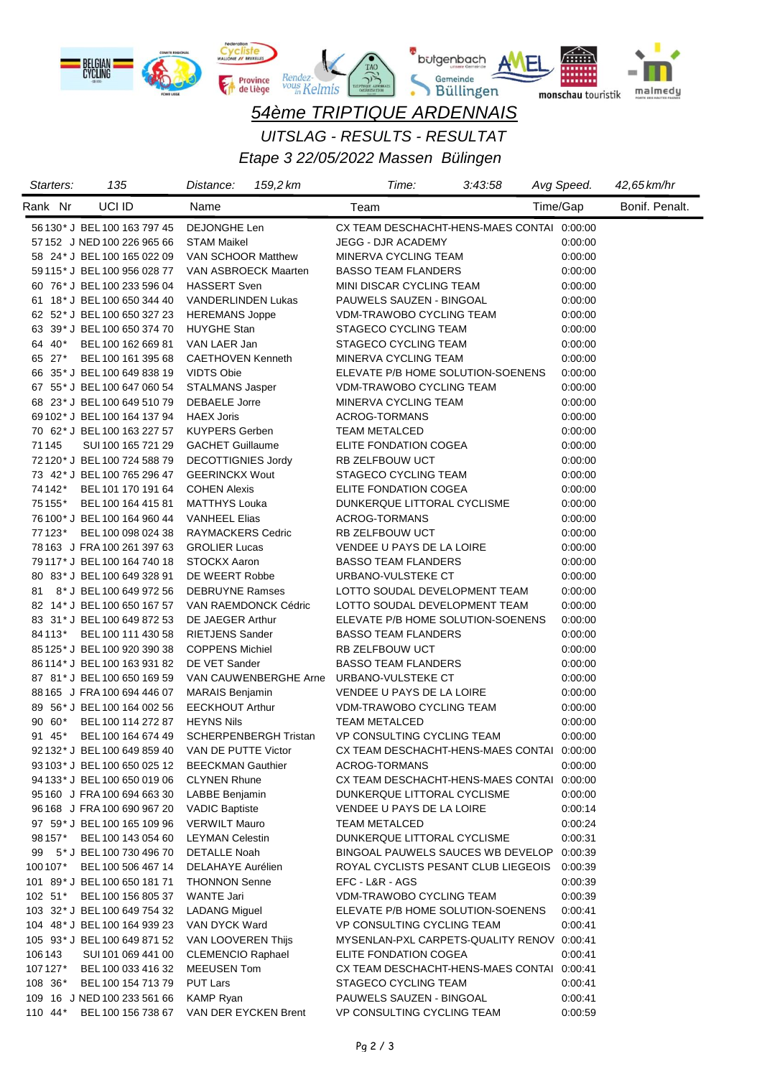

*UITSLAG - RESULTS - RESULTAT*

| Starters:    | 135                           | 159,2 km<br>Distance:        | Time:                                      | 3:43:58 | Avg Speed. | 42,65 km/hr    |
|--------------|-------------------------------|------------------------------|--------------------------------------------|---------|------------|----------------|
| Rank Nr      | UCI ID                        | Name                         | Team                                       |         | Time/Gap   | Bonif. Penalt. |
|              | 56 130 * J BEL 100 163 797 45 | DEJONGHE Len                 | CX TEAM DESCHACHT-HENS-MAES CONTAI 0:00:00 |         |            |                |
|              | 57 152 J NED 100 226 965 66   | <b>STAM Maikel</b>           | JEGG - DJR ACADEMY                         |         | 0:00:00    |                |
|              | 58 24* J BEL 100 165 022 09   | VAN SCHOOR Matthew           | MINERVA CYCLING TEAM                       |         | 0:00:00    |                |
|              | 59 115 * J BEL 100 956 028 77 | VAN ASBROECK Maarten         | <b>BASSO TEAM FLANDERS</b>                 |         | 0:00:00    |                |
|              | 60 76* J BEL 100 233 596 04   | <b>HASSERT Sven</b>          | MINI DISCAR CYCLING TEAM                   |         | 0:00:00    |                |
|              | 61 18* J BEL 100 650 344 40   | <b>VANDERLINDEN Lukas</b>    | PAUWELS SAUZEN - BINGOAL                   |         | 0:00:00    |                |
|              | 62 52* J BEL 100 650 327 23   | <b>HEREMANS Joppe</b>        | VDM-TRAWOBO CYCLING TEAM                   |         | 0:00:00    |                |
|              | 63 39 * J BEL 100 650 374 70  | <b>HUYGHE Stan</b>           | STAGECO CYCLING TEAM                       |         | 0:00:00    |                |
| 64 40*       | BEL 100 162 669 81            | VAN LAER Jan                 | STAGECO CYCLING TEAM                       |         | 0:00:00    |                |
| 65 27*       | BEL 100 161 395 68            | <b>CAETHOVEN Kenneth</b>     | MINERVA CYCLING TEAM                       |         | 0:00:00    |                |
|              | 66 35* J BEL 100 649 838 19   | <b>VIDTS Obie</b>            | ELEVATE P/B HOME SOLUTION-SOENENS          |         | 0:00:00    |                |
|              | 67 55* J BEL 100 647 060 54   | <b>STALMANS Jasper</b>       | VDM-TRAWOBO CYCLING TEAM                   |         | 0:00:00    |                |
|              | 68 23* J BEL 100 649 510 79   | <b>DEBAELE Jorre</b>         | MINERVA CYCLING TEAM                       |         | 0:00:00    |                |
|              | 69 102 * J BEL 100 164 137 94 | <b>HAEX Joris</b>            | ACROG-TORMANS                              |         | 0:00:00    |                |
|              | 70 62* J BEL 100 163 227 57   | <b>KUYPERS Gerben</b>        | <b>TEAM METALCED</b>                       |         | 0:00:00    |                |
| 71 1 45      | SUI 100 165 721 29            | <b>GACHET Guillaume</b>      | ELITE FONDATION COGEA                      |         | 0:00:00    |                |
|              | 72 120* J BEL 100 724 588 79  | <b>DECOTTIGNIES Jordy</b>    | RB ZELFBOUW UCT                            |         | 0:00:00    |                |
|              | 73 42* J BEL 100 765 296 47   | <b>GEERINCKX Wout</b>        | STAGECO CYCLING TEAM                       |         | 0:00:00    |                |
| 74 142*      | BEL 101 170 191 64            | <b>COHEN Alexis</b>          | ELITE FONDATION COGEA                      |         | 0:00:00    |                |
| 75 155*      | BEL 100 164 415 81            | MATTHYS Louka                | DUNKERQUE LITTORAL CYCLISME                |         | 0:00:00    |                |
|              | 76 100* J BEL 100 164 960 44  | <b>VANHEEL Elias</b>         | ACROG-TORMANS                              |         | 0:00:00    |                |
| 77 123*      | BEL 100 098 024 38            | RAYMACKERS Cedric            | RB ZELFBOUW UCT                            |         | 0.00:00    |                |
|              | 78 163 J FRA 100 261 397 63   | <b>GROLIER Lucas</b>         | VENDEE U PAYS DE LA LOIRE                  |         | 0:00:00    |                |
|              | 79 117* J BEL 100 164 740 18  | <b>STOCKX Aaron</b>          | <b>BASSO TEAM FLANDERS</b>                 |         | 0:00:00    |                |
|              | 80 83* J BEL 100 649 328 91   | DE WEERT Robbe               | URBANO-VULSTEKE CT                         |         | 0.00:00    |                |
|              | 81 8* J BEL 100 649 972 56    | <b>DEBRUYNE Ramses</b>       | LOTTO SOUDAL DEVELOPMENT TEAM              |         | 0:00:00    |                |
|              | 82 14* J BEL 100 650 167 57   | VAN RAEMDONCK Cédric         | LOTTO SOUDAL DEVELOPMENT TEAM              |         | 0:00:00    |                |
|              | 83 31 * J BEL 100 649 872 53  | DE JAEGER Arthur             | ELEVATE P/B HOME SOLUTION-SOENENS          |         | 0:00:00    |                |
| 84 113*      | BEL 100 111 430 58            | <b>RIETJENS Sander</b>       | <b>BASSO TEAM FLANDERS</b>                 |         | 0:00:00    |                |
|              | 85 125 * J BEL 100 920 390 38 | <b>COPPENS Michiel</b>       | RB ZELFBOUW UCT                            |         | 0:00:00    |                |
|              | 86 114 * J BEL 100 163 931 82 | DE VET Sander                | <b>BASSO TEAM FLANDERS</b>                 |         | 0:00:00    |                |
|              | 87 81 * J BEL 100 650 169 59  | VAN CAUWENBERGHE Arne        | URBANO-VULSTEKE CT                         |         | 0:00:00    |                |
|              | 88 165 J FRA 100 694 446 07   | <b>MARAIS Benjamin</b>       | VENDEE U PAYS DE LA LOIRE                  |         | 0:00:00    |                |
|              | 89 56* J BEL 100 164 002 56   | <b>EECKHOUT Arthur</b>       | VDM-TRAWOBO CYCLING TEAM                   |         | 0:00:00    |                |
| $90\,60*$    | BEL 100 114 272 87            | <b>HEYNS Nils</b>            | <b>TEAM METALCED</b>                       |         | 0:00:00    |                |
| 91 45*       | BEL 100 164 674 49            | <b>SCHERPENBERGH Tristan</b> | VP CONSULTING CYCLING TEAM                 |         | 0:00:00    |                |
|              | 92 132* J BEL 100 649 859 40  | VAN DE PUTTE Victor          | CX TEAM DESCHACHT-HENS-MAES CONTAI 0:00:00 |         |            |                |
|              | 93 103 * J BEL 100 650 025 12 | <b>BEECKMAN Gauthier</b>     | ACROG-TORMANS                              |         | 0.00:00    |                |
|              | 94 133* J BEL 100 650 019 06  | <b>CLYNEN Rhune</b>          | CX TEAM DESCHACHT-HENS-MAES CONTAI 0:00:00 |         |            |                |
|              | 95 160 J FRA 100 694 663 30   | LABBE Benjamin               | DUNKERQUE LITTORAL CYCLISME                |         | 0:00:00    |                |
|              | 96 168 J FRA 100 690 967 20   | <b>VADIC Baptiste</b>        | VENDEE U PAYS DE LA LOIRE                  |         | 0:00:14    |                |
|              | 97 59 * J BEL 100 165 109 96  | <b>VERWILT Mauro</b>         | <b>TEAM METALCED</b>                       |         | 0:00:24    |                |
| 98 157*      | BEL 100 143 054 60            | <b>LEYMAN Celestin</b>       | DUNKERQUE LITTORAL CYCLISME                |         | 0:00:31    |                |
| 99           | 5* J BEL 100 730 496 70       | <b>DETALLE Noah</b>          | BINGOAL PAUWELS SAUCES WB DEVELOP 0:00:39  |         |            |                |
| 100 107*     | BEL 100 506 467 14            | DELAHAYE Aurélien            | ROYAL CYCLISTS PESANT CLUB LIEGEOIS        |         | 0:00:39    |                |
|              | 101 89* J BEL 100 650 181 71  | <b>THONNON Senne</b>         | EFC - L&R - AGS                            |         | 0:00:39    |                |
| $102 \t 51*$ | BEL 100 156 805 37            | WANTE Jari                   | VDM-TRAWOBO CYCLING TEAM                   |         | 0:00:39    |                |
|              | 103 32* J BEL 100 649 754 32  | <b>LADANG Miguel</b>         | ELEVATE P/B HOME SOLUTION-SOENENS          |         | 0:00:41    |                |
|              | 104 48* J BEL 100 164 939 23  | VAN DYCK Ward                | VP CONSULTING CYCLING TEAM                 |         | 0:00:41    |                |
|              | 105 93* J BEL 100 649 871 52  | VAN LOOVEREN Thijs           | MYSENLAN-PXL CARPETS-QUALITY RENOV 0:00:41 |         |            |                |
| 106143       | SUI 101 069 441 00            | <b>CLEMENCIO Raphael</b>     | ELITE FONDATION COGEA                      |         | 0:00:41    |                |
| 107 127*     | BEL 100 033 416 32            | <b>MEEUSEN Tom</b>           | CX TEAM DESCHACHT-HENS-MAES CONTAI 0:00:41 |         |            |                |
| 108 36*      | BEL 100 154 713 79            | <b>PUT Lars</b>              | STAGECO CYCLING TEAM                       |         | 0:00:41    |                |
|              | 109 16 J NED 100 233 561 66   | <b>KAMP Ryan</b>             | PAUWELS SAUZEN - BINGOAL                   |         | 0:00:41    |                |
| $110 \t 44*$ | BEL 100 156 738 67            | VAN DER EYCKEN Brent         | VP CONSULTING CYCLING TEAM                 |         | 0:00:59    |                |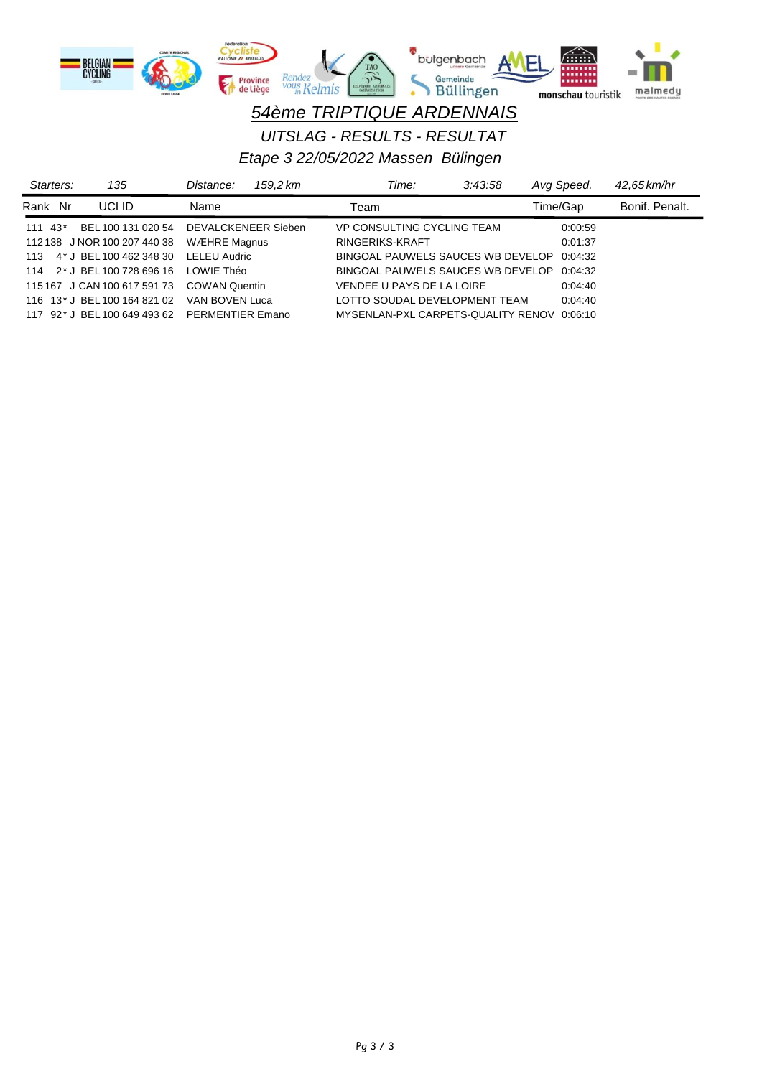

*UITSLAG - RESULTS - RESULTAT*

| Starters:    | 135                          | Distance:            | 159.2 km | Time:                                      | 3:43:58 | Avg Speed. | 42.65 km/hr    |
|--------------|------------------------------|----------------------|----------|--------------------------------------------|---------|------------|----------------|
| Rank Nr      | UCI ID                       | Name                 |          | Team                                       |         | Time/Gap   | Bonif, Penalt. |
| $111 \t 43*$ | BEL 100 131 020 54           | DEVALCKENEER Sieben  |          | VP CONSULTING CYCLING TEAM                 |         | 0:00:59    |                |
|              | 112 138 J NOR 100 207 440 38 | <b>WÆHRE Magnus</b>  |          | RINGERIKS-KRAFT                            |         | 0:01:37    |                |
| 113          | 4* J BEL 100 462 348 30      | LELEU Audric         |          | BINGOAL PAUWELS SAUCES WB DEVELOP          |         | 0:04:32    |                |
| 114          | 2* J BEL 100 728 696 16      | I OWIF Théo          |          | BINGOAL PAUWELS SAUCES WB DEVELOP          |         | 0.04:32    |                |
|              | 115 167 J CAN 100 617 591 73 | <b>COWAN Quentin</b> |          | VENDEE U PAYS DE LA LOIRE                  |         | 0.04:40    |                |
|              | 116 13* J BEL 100 164 821 02 | VAN BOVEN Luca       |          | LOTTO SOUDAL DEVELOPMENT TEAM              |         | 0.04:40    |                |
|              | 117 92* J BEL 100 649 493 62 | PERMENTIER Emano     |          | MYSENLAN-PXL CARPETS-QUALITY RENOV 0:06:10 |         |            |                |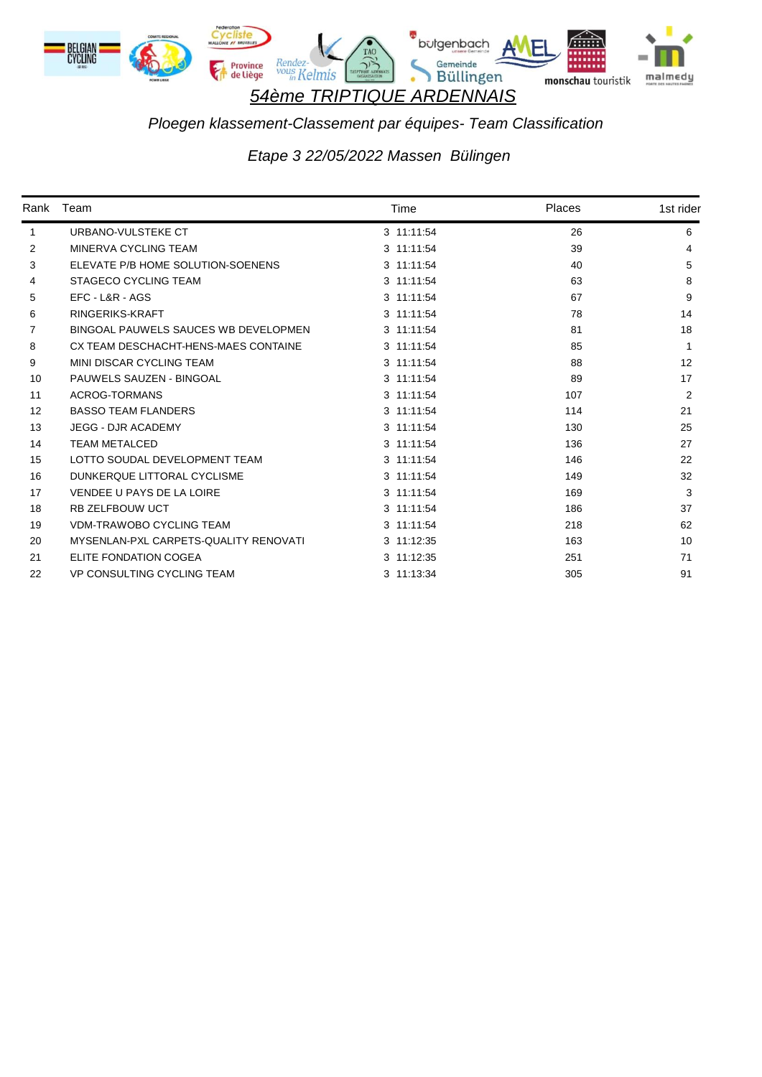

*Ploegen klassement-Classement par équipes- Team Classification*

| Rank | Team                                  | Time       | Places | 1st rider         |
|------|---------------------------------------|------------|--------|-------------------|
| 1    | URBANO-VULSTEKE CT                    | 3 11:11:54 | 26     | 6                 |
| 2    | MINERVA CYCLING TEAM                  | 3 11:11:54 | 39     | 4                 |
| 3    | ELEVATE P/B HOME SOLUTION-SOENENS     | 3 11:11:54 | 40     | 5                 |
| 4    | <b>STAGECO CYCLING TEAM</b>           | 3 11:11:54 | 63     | 8                 |
| 5    | EFC - L&R - AGS                       | 3 11:11:54 | 67     | 9                 |
| 6    | RINGERIKS-KRAFT                       | 3 11:11:54 | 78     | 14                |
| 7    | BINGOAL PAUWELS SAUCES WB DEVELOPMEN  | 3 11:11:54 | 81     | 18                |
| 8    | CX TEAM DESCHACHT-HENS-MAES CONTAINE  | 3 11:11:54 | 85     |                   |
| 9    | <b>MINI DISCAR CYCLING TEAM</b>       | 3 11:11:54 | 88     | $12 \overline{ }$ |
| 10   | PAUWELS SAUZEN - BINGOAL              | 3 11:11:54 | 89     | 17                |
| 11   | <b>ACROG-TORMANS</b>                  | 3 11:11:54 | 107    | 2                 |
| 12   | <b>BASSO TEAM FLANDERS</b>            | 3 11:11:54 | 114    | 21                |
| 13   | <b>JEGG - DJR ACADEMY</b>             | 3 11:11:54 | 130    | 25                |
| 14   | <b>TEAM METALCED</b>                  | 3 11:11:54 | 136    | 27                |
| 15   | LOTTO SOUDAL DEVELOPMENT TEAM         | 3 11:11:54 | 146    | 22                |
| 16   | DUNKERQUE LITTORAL CYCLISME           | 3 11:11:54 | 149    | 32                |
| 17   | VENDEE U PAYS DE LA LOIRE             | 3 11:11:54 | 169    | 3                 |
| 18   | <b>RB ZELFBOUW UCT</b>                | 3 11:11:54 | 186    | 37                |
| 19   | <b>VDM-TRAWOBO CYCLING TEAM</b>       | 3 11:11:54 | 218    | 62                |
| 20   | MYSENLAN-PXL CARPETS-QUALITY RENOVATI | 3 11:12:35 | 163    | 10                |
| 21   | ELITE FONDATION COGEA                 | 3 11:12:35 | 251    | 71                |
| 22   | <b>VP CONSULTING CYCLING TEAM</b>     | 3 11:13:34 | 305    | 91                |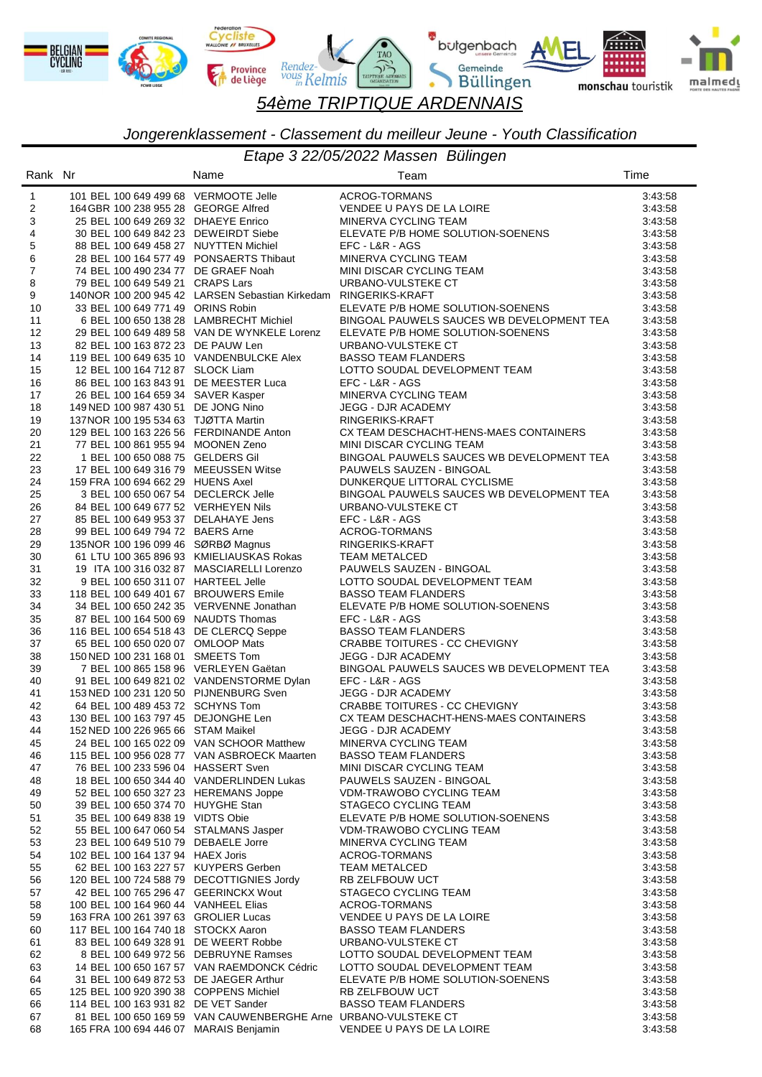

*Jongerenklassement - Classement du meilleur Jeune - Youth Classification*

| Rank Nr          |                                                                              | Name                                                            | Team                                                                           | Time               |
|------------------|------------------------------------------------------------------------------|-----------------------------------------------------------------|--------------------------------------------------------------------------------|--------------------|
| $\mathbf{1}$     | 101 BEL 100 649 499 68 VERMOOTE Jelle                                        |                                                                 | ACROG-TORMANS                                                                  | 3:43:58            |
| 2                | 164 GBR 100 238 955 28 GEORGE Alfred                                         |                                                                 | VENDEE U PAYS DE LA LOIRE                                                      | 3:43:58            |
| 3                | 25 BEL 100 649 269 32 DHAEYE Enrico                                          |                                                                 | MINERVA CYCLING TEAM                                                           | 3:43:58            |
| 4                | 30 BEL 100 649 842 23 DEWEIRDT Siebe                                         |                                                                 | ELEVATE P/B HOME SOLUTION-SOENENS                                              | 3:43:58            |
| 5                | 88 BEL 100 649 458 27 NUYTTEN Michiel                                        |                                                                 | EFC - L&R - AGS                                                                | 3:43:58            |
| 6                | 28 BEL 100 164 577 49 PONSAERTS Thibaut                                      |                                                                 | MINERVA CYCLING TEAM                                                           | 3:43:58            |
| $\boldsymbol{7}$ | 74 BEL 100 490 234 77 DE GRAEF Noah                                          |                                                                 | MINI DISCAR CYCLING TEAM                                                       | 3:43:58            |
| 8                | 79 BEL 100 649 549 21 CRAPS Lars                                             |                                                                 | URBANO-VULSTEKE CT                                                             | 3:43:58            |
| 9                | 33 BEL 100 649 771 49 ORINS Robin                                            | 140NOR 100 200 945 42 LARSEN Sebastian Kirkedam RINGERIKS-KRAFT |                                                                                | 3:43:58            |
| 10<br>11         | 6 BEL 100 650 138 28 LAMBRECHT Michiel                                       |                                                                 | ELEVATE P/B HOME SOLUTION-SOENENS<br>BINGOAL PAUWELS SAUCES WB DEVELOPMENT TEA | 3:43:58            |
| 12               |                                                                              | 29 BEL 100 649 489 58 VAN DE WYNKELE Lorenz                     | ELEVATE P/B HOME SOLUTION-SOENENS                                              | 3:43:58<br>3:43:58 |
| 13               | 82 BEL 100 163 872 23 DE PAUW Len                                            |                                                                 | URBANO-VULSTEKE CT                                                             | 3:43:58            |
| 14               | 119 BEL 100 649 635 10 VANDENBULCKE Alex                                     |                                                                 | <b>BASSO TEAM FLANDERS</b>                                                     | 3:43:58            |
| 15               | 12 BEL 100 164 712 87 SLOCK Liam                                             |                                                                 | LOTTO SOUDAL DEVELOPMENT TEAM                                                  | 3:43:58            |
| 16               | 86 BEL 100 163 843 91 DE MEESTER Luca                                        |                                                                 | EFC - L&R - AGS                                                                | 3:43:58            |
| 17               | 26 BEL 100 164 659 34 SAVER Kasper                                           |                                                                 | MINERVA CYCLING TEAM                                                           | 3:43:58            |
| 18               | 149 NED 100 987 430 51 DE JONG Nino                                          |                                                                 | <b>JEGG - DJR ACADEMY</b>                                                      | 3:43:58            |
| 19               | 137NOR 100 195 534 63 TJØTTA Martin                                          |                                                                 | RINGERIKS-KRAFT                                                                | 3:43:58            |
| 20               | 129 BEL 100 163 226 56 FERDINANDE Anton                                      |                                                                 | CX TEAM DESCHACHT-HENS-MAES CONTAINERS                                         | 3:43:58            |
| 21               | 77 BEL 100 861 955 94 MOONEN Zeno                                            |                                                                 | MINI DISCAR CYCLING TEAM                                                       | 3:43:58            |
| 22               | 1 BEL 100 650 088 75 GELDERS Gil                                             |                                                                 | BINGOAL PAUWELS SAUCES WB DEVELOPMENT TEA                                      | 3:43:58            |
| 23               | 17 BEL 100 649 316 79 MEEUSSEN Witse                                         |                                                                 | PAUWELS SAUZEN - BINGOAL                                                       | 3:43:58            |
| 24               | 159 FRA 100 694 662 29 HUENS Axel                                            |                                                                 | DUNKERQUE LITTORAL CYCLISME                                                    | 3:43:58            |
| 25               | 3 BEL 100 650 067 54 DECLERCK Jelle                                          |                                                                 | BINGOAL PAUWELS SAUCES WB DEVELOPMENT TEA                                      | 3:43:58            |
| 26               | 84 BEL 100 649 677 52 VERHEYEN Nils                                          |                                                                 | URBANO-VULSTEKE CT                                                             | 3:43:58            |
| 27<br>28         | 85 BEL 100 649 953 37 DELAHAYE Jens                                          |                                                                 | EFC - L&R - AGS                                                                | 3:43:58            |
| 29               | 99 BEL 100 649 794 72 BAERS Arne<br>135NOR 100 196 099 46 SØRBØ Magnus       |                                                                 | ACROG-TORMANS<br>RINGERIKS-KRAFT                                               | 3:43:58<br>3:43:58 |
| 30               | 61 LTU 100 365 896 93 KMIELIAUSKAS Rokas                                     |                                                                 | <b>TEAM METALCED</b>                                                           | 3:43:58            |
| 31               | 19 ITA 100 316 032 87 MASCIARELLI Lorenzo                                    |                                                                 | PAUWELS SAUZEN - BINGOAL                                                       | 3:43:58            |
| 32               | 9 BEL 100 650 311 07 HARTEEL Jelle                                           |                                                                 | LOTTO SOUDAL DEVELOPMENT TEAM                                                  | 3:43:58            |
| 33               | 118 BEL 100 649 401 67 BROUWERS Emile                                        |                                                                 | <b>BASSO TEAM FLANDERS</b>                                                     | 3:43:58            |
| 34               | 34 BEL 100 650 242 35 VERVENNE Jonathan                                      |                                                                 | ELEVATE P/B HOME SOLUTION-SOENENS                                              | 3:43:58            |
| 35               | 87 BEL 100 164 500 69 NAUDTS Thomas                                          |                                                                 | EFC - L&R - AGS                                                                | 3:43:58            |
| 36               | 116 BEL 100 654 518 43 DE CLERCQ Seppe                                       |                                                                 | <b>BASSO TEAM FLANDERS</b>                                                     | 3:43:58            |
| 37               | 65 BEL 100 650 020 07 OMLOOP Mats                                            |                                                                 | CRABBE TOITURES - CC CHEVIGNY                                                  | 3:43:58            |
| 38               | 150 NED 100 231 168 01 SMEETS Tom                                            |                                                                 | <b>JEGG - DJR ACADEMY</b>                                                      | 3:43:58            |
| 39               | 7 BEL 100 865 158 96 VERLEYEN Gaëtan                                         |                                                                 | BINGOAL PAUWELS SAUCES WB DEVELOPMENT TEA                                      | 3:43:58            |
| 40               |                                                                              | 91 BEL 100 649 821 02 VANDENSTORME Dylan                        | EFC - L&R - AGS                                                                | 3:43:58            |
| 41               | 153 NED 100 231 120 50 PIJNENBURG Sven                                       |                                                                 | <b>JEGG - DJR ACADEMY</b>                                                      | 3:43:58            |
| 42               | 64 BEL 100 489 453 72 SCHYNS Tom                                             |                                                                 | CRABBE TOITURES - CC CHEVIGNY                                                  | 3:43:58            |
| 43<br>44         | 130 BEL 100 163 797 45 DEJONGHE Len<br>152 NED 100 226 965 66 STAM Maikel    |                                                                 | CX TEAM DESCHACHT-HENS-MAES CONTAINERS<br><b>JEGG - DJR ACADEMY</b>            | 3:43:58<br>3:43:58 |
| 45               |                                                                              | 24 BEL 100 165 022 09 VAN SCHOOR Matthew                        | MINERVA CYCLING TEAM                                                           | 3:43:58            |
| 46               |                                                                              | 115 BEL 100 956 028 77 VAN ASBROECK Maarten                     | <b>BASSO TEAM FLANDERS</b>                                                     | 3:43:58            |
| 47               | 76 BEL 100 233 596 04 HASSERT Sven                                           |                                                                 | MINI DISCAR CYCLING TEAM                                                       | 3:43:58            |
| 48               |                                                                              | 18 BEL 100 650 344 40 VANDERLINDEN Lukas                        | PAUWELS SAUZEN - BINGOAL                                                       | 3:43:58            |
| 49               | 52 BEL 100 650 327 23 HEREMANS Joppe                                         |                                                                 | VDM-TRAWOBO CYCLING TEAM                                                       | 3:43:58            |
| 50               | 39 BEL 100 650 374 70 HUYGHE Stan                                            |                                                                 | STAGECO CYCLING TEAM                                                           | 3:43:58            |
| 51               | 35 BEL 100 649 838 19 VIDTS Obie                                             |                                                                 | ELEVATE P/B HOME SOLUTION-SOENENS                                              | 3:43:58            |
| 52               | 55 BEL 100 647 060 54 STALMANS Jasper                                        |                                                                 | VDM-TRAWOBO CYCLING TEAM                                                       | 3:43:58            |
| 53               | 23 BEL 100 649 510 79 DEBAELE Jorre                                          |                                                                 | MINERVA CYCLING TEAM                                                           | 3:43:58            |
| 54               | 102 BEL 100 164 137 94 HAEX Joris                                            |                                                                 | ACROG-TORMANS                                                                  | 3:43:58            |
| 55               | 62 BEL 100 163 227 57 KUYPERS Gerben                                         |                                                                 | <b>TEAM METALCED</b>                                                           | 3:43:58            |
| 56               | 120 BEL 100 724 588 79 DECOTTIGNIES Jordy                                    |                                                                 | RB ZELFBOUW UCT                                                                | 3:43:58            |
| 57               | 42 BEL 100 765 296 47 GEERINCKX Wout                                         |                                                                 | STAGECO CYCLING TEAM                                                           | 3:43:58            |
| 58<br>59         | 100 BEL 100 164 960 44 VANHEEL Elias<br>163 FRA 100 261 397 63 GROLIER Lucas |                                                                 | ACROG-TORMANS<br>VENDEE U PAYS DE LA LOIRE                                     | 3:43:58            |
| 60               | 117 BEL 100 164 740 18 STOCKX Aaron                                          |                                                                 | <b>BASSO TEAM FLANDERS</b>                                                     | 3:43:58<br>3:43:58 |
| 61               | 83 BEL 100 649 328 91 DE WEERT Robbe                                         |                                                                 | URBANO-VULSTEKE CT                                                             | 3:43:58            |
| 62               | 8 BEL 100 649 972 56 DEBRUYNE Ramses                                         |                                                                 | LOTTO SOUDAL DEVELOPMENT TEAM                                                  | 3:43:58            |
| 63               |                                                                              | 14 BEL 100 650 167 57 VAN RAEMDONCK Cédric                      | LOTTO SOUDAL DEVELOPMENT TEAM                                                  | 3:43:58            |
| 64               | 31 BEL 100 649 872 53 DE JAEGER Arthur                                       |                                                                 | ELEVATE P/B HOME SOLUTION-SOENENS                                              | 3:43:58            |
| 65               | 125 BEL 100 920 390 38 COPPENS Michiel                                       |                                                                 | RB ZELFBOUW UCT                                                                | 3:43:58            |
| 66               | 114 BEL 100 163 931 82 DE VET Sander                                         |                                                                 | <b>BASSO TEAM FLANDERS</b>                                                     | 3:43:58            |
| 67               |                                                                              | 81 BEL 100 650 169 59 VAN CAUWENBERGHE Arne URBANO-VULSTEKE CT  |                                                                                | 3:43:58            |
| 68               | 165 FRA 100 694 446 07 MARAIS Benjamin                                       |                                                                 | VENDEE U PAYS DE LA LOIRE                                                      | 3:43:58            |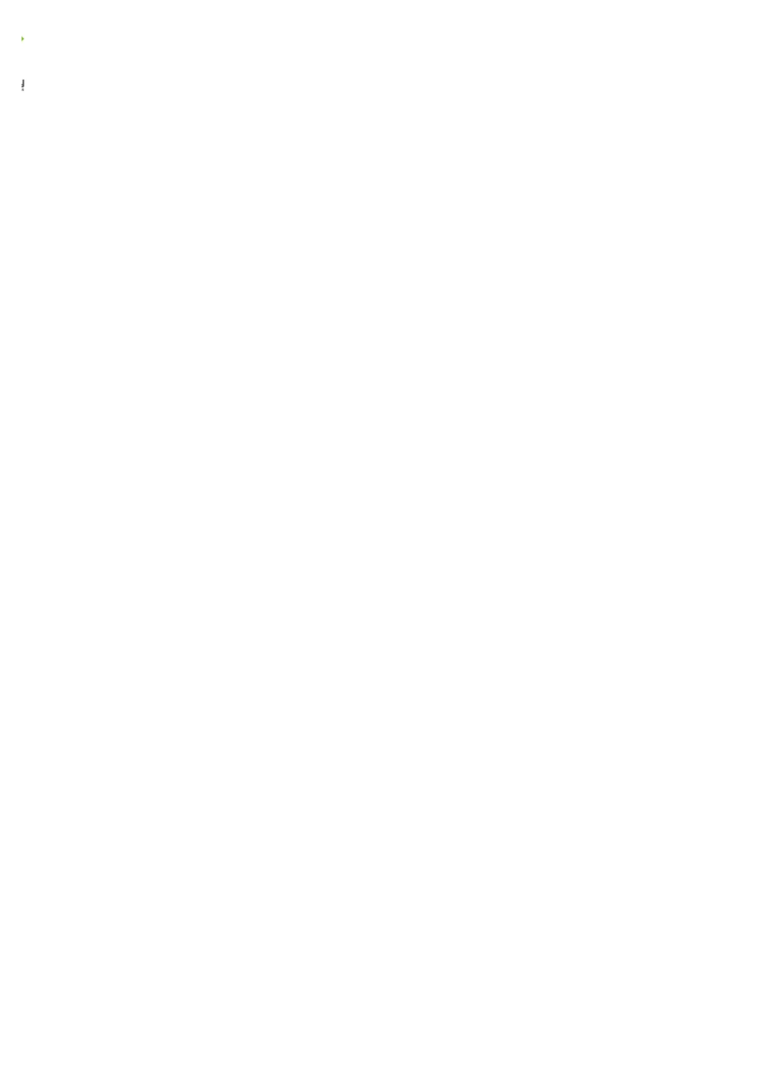$\frac{1}{2}$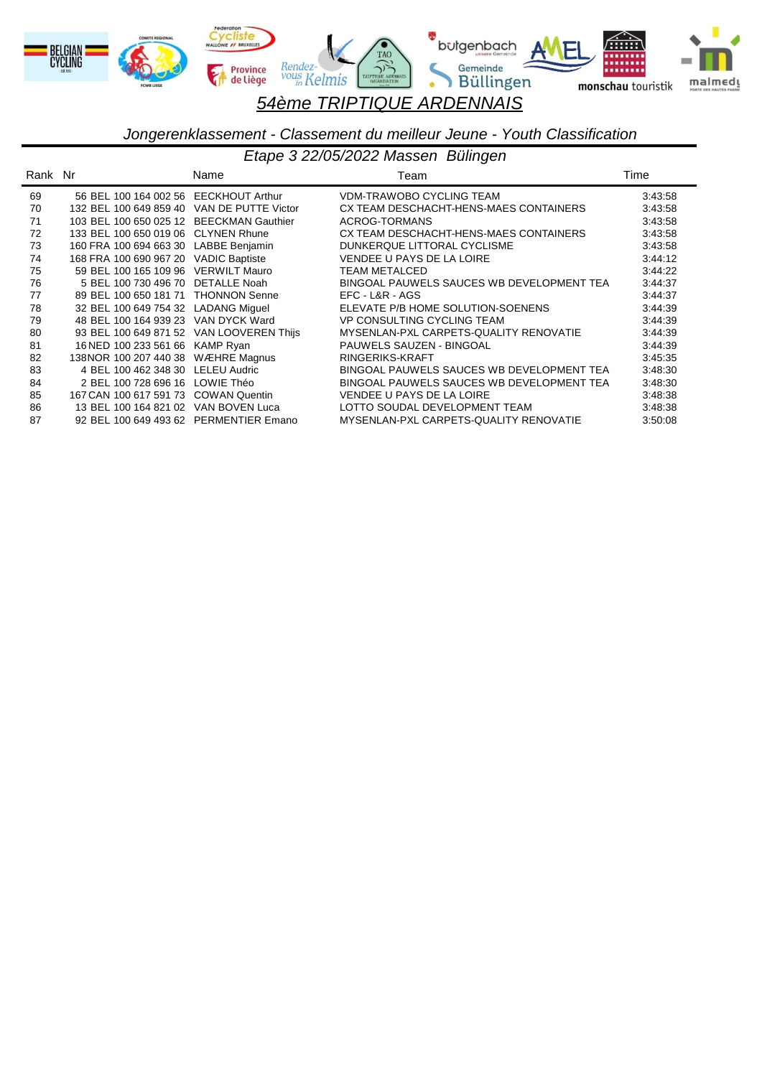

*Jongerenklassement - Classement du meilleur Jeune - Youth Classification*

| Name    | Team                                                                                                                                                                                                                                                                                                                                                                                                                                                                                                                                                                                                                                                                                                                                                                             | Time    |
|---------|----------------------------------------------------------------------------------------------------------------------------------------------------------------------------------------------------------------------------------------------------------------------------------------------------------------------------------------------------------------------------------------------------------------------------------------------------------------------------------------------------------------------------------------------------------------------------------------------------------------------------------------------------------------------------------------------------------------------------------------------------------------------------------|---------|
|         | <b>VDM-TRAWOBO CYCLING TEAM</b>                                                                                                                                                                                                                                                                                                                                                                                                                                                                                                                                                                                                                                                                                                                                                  | 3.43.58 |
|         | CX TEAM DESCHACHT-HENS-MAES CONTAINERS                                                                                                                                                                                                                                                                                                                                                                                                                                                                                                                                                                                                                                                                                                                                           | 3:43:58 |
|         | ACROG-TORMANS                                                                                                                                                                                                                                                                                                                                                                                                                                                                                                                                                                                                                                                                                                                                                                    | 3:43:58 |
|         | CX TEAM DESCHACHT-HENS-MAES CONTAINERS                                                                                                                                                                                                                                                                                                                                                                                                                                                                                                                                                                                                                                                                                                                                           | 3:43:58 |
|         | DUNKERQUE LITTORAL CYCLISME                                                                                                                                                                                                                                                                                                                                                                                                                                                                                                                                                                                                                                                                                                                                                      | 3:43:58 |
|         | VENDEE U PAYS DE LA LOIRE                                                                                                                                                                                                                                                                                                                                                                                                                                                                                                                                                                                                                                                                                                                                                        | 3:44:12 |
|         | <b>TEAM METALCED</b>                                                                                                                                                                                                                                                                                                                                                                                                                                                                                                                                                                                                                                                                                                                                                             | 3:44:22 |
|         | BINGOAL PAUWELS SAUCES WB DEVELOPMENT TEA                                                                                                                                                                                                                                                                                                                                                                                                                                                                                                                                                                                                                                                                                                                                        | 3:44:37 |
|         | EFC - L&R - AGS                                                                                                                                                                                                                                                                                                                                                                                                                                                                                                                                                                                                                                                                                                                                                                  | 3:44:37 |
|         | ELEVATE P/B HOME SOLUTION-SOENENS                                                                                                                                                                                                                                                                                                                                                                                                                                                                                                                                                                                                                                                                                                                                                | 3:44:39 |
|         | <b>VP CONSULTING CYCLING TEAM</b>                                                                                                                                                                                                                                                                                                                                                                                                                                                                                                                                                                                                                                                                                                                                                | 3:44:39 |
|         | MYSENLAN-PXL CARPETS-QUALITY RENOVATIE                                                                                                                                                                                                                                                                                                                                                                                                                                                                                                                                                                                                                                                                                                                                           | 3:44:39 |
|         | PAUWELS SAUZEN - BINGOAL                                                                                                                                                                                                                                                                                                                                                                                                                                                                                                                                                                                                                                                                                                                                                         | 3:44:39 |
|         | RINGERIKS-KRAFT                                                                                                                                                                                                                                                                                                                                                                                                                                                                                                                                                                                                                                                                                                                                                                  | 3:45:35 |
|         | BINGOAL PAUWELS SAUCES WB DEVELOPMENT TEA                                                                                                                                                                                                                                                                                                                                                                                                                                                                                                                                                                                                                                                                                                                                        | 3:48:30 |
|         | BINGOAL PAUWELS SAUCES WB DEVELOPMENT TEA                                                                                                                                                                                                                                                                                                                                                                                                                                                                                                                                                                                                                                                                                                                                        | 3:48:30 |
|         | VENDEE U PAYS DE LA LOIRE                                                                                                                                                                                                                                                                                                                                                                                                                                                                                                                                                                                                                                                                                                                                                        | 3:48:38 |
|         | LOTTO SOUDAL DEVELOPMENT TEAM                                                                                                                                                                                                                                                                                                                                                                                                                                                                                                                                                                                                                                                                                                                                                    | 3:48:38 |
|         | MYSENLAN-PXL CARPETS-QUALITY RENOVATIE                                                                                                                                                                                                                                                                                                                                                                                                                                                                                                                                                                                                                                                                                                                                           | 3:50:08 |
| Rank Nr | 56 BEL 100 164 002 56 EECKHOUT Arthur<br>132 BEL 100 649 859 40 VAN DE PUTTE Victor<br>103 BEL 100 650 025 12 BEECKMAN Gauthier<br>133 BEL 100 650 019 06 CLYNEN Rhune<br>160 FRA 100 694 663 30 LABBE Benjamin<br>168 FRA 100 690 967 20 VADIC Baptiste<br>59 BEL 100 165 109 96 VERWILT Mauro<br>5 BEL 100 730 496 70 DETALLE Noah<br>89 BEL 100 650 181 71 THONNON Senne<br>32 BEL 100 649 754 32 LADANG Miquel<br>48 BEL 100 164 939 23 VAN DYCK Ward<br>93 BEL 100 649 871 52 VAN LOOVEREN Thijs<br>16 NED 100 233 561 66 KAMP Ryan<br>138NOR 100 207 440 38 WÆHRE Magnus<br>4 BEL 100 462 348 30 LELEU Audric<br>2 BEL 100 728 696 16 LOWIE Théo<br>167 CAN 100 617 591 73 COWAN Quentin<br>13 BEL 100 164 821 02 VAN BOVEN Luca<br>92 BEL 100 649 493 62 PERMENTIER Emano |         |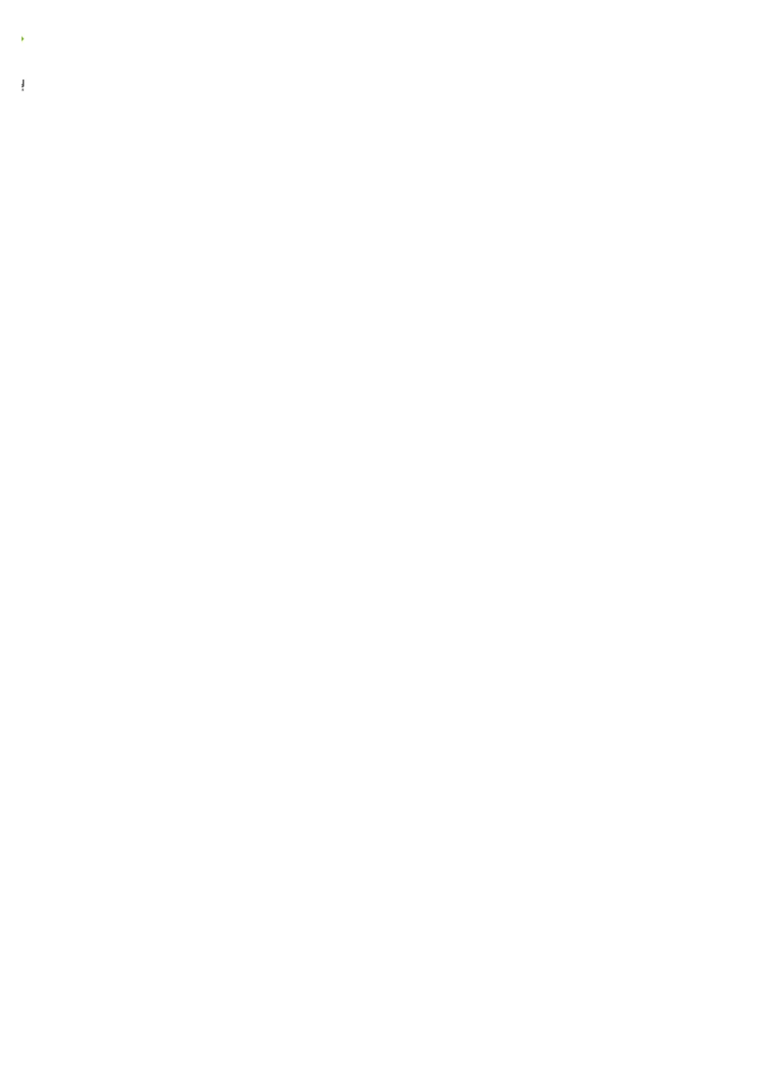$\frac{1}{2}$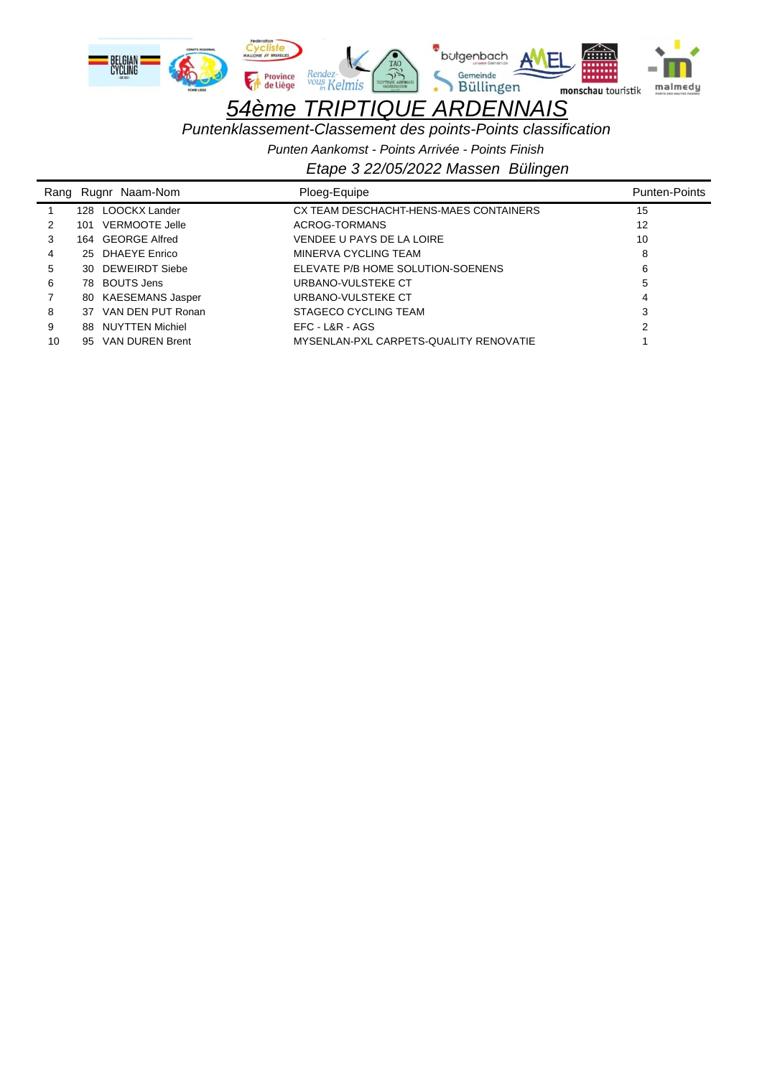

*54ème TRIPTIQUE ARDENNAIS Puntenklassement-Classement des points-Points classification*

*Punten Aankomst - Points Arrivée - Points Finish*

|    |      | Rang Rugnr Naam-Nom   | Ploeg-Equipe                           | <b>Punten-Points</b> |
|----|------|-----------------------|----------------------------------------|----------------------|
|    | 128. | LOOCKX Lander         | CX TEAM DESCHACHT-HENS-MAES CONTAINERS | 15                   |
|    | 101  | <b>VERMOOTE Jelle</b> | ACROG-TORMANS                          | 12                   |
| 3  |      | 164 GEORGE Alfred     | VENDEE U PAYS DE LA LOIRE              | 10                   |
| 4  |      | 25 DHAEYE Enrico      | MINERVA CYCLING TEAM                   | 8                    |
| 5  |      | 30 DEWEIRDT Siebe     | ELEVATE P/B HOME SOLUTION-SOENENS      | 6                    |
| 6  |      | 78 BOUTS Jens         | URBANO-VULSTEKE CT                     | 5                    |
|    |      | 80 KAESEMANS Jasper   | URBANO-VULSTEKE CT                     | 4                    |
| 8  | 37   | VAN DEN PUT Ronan     | STAGECO CYCLING TEAM                   | 3                    |
| 9  | 88.  | NUYTTEN Michiel       | EFC - L&R - AGS                        |                      |
| 10 | 95   | VAN DUREN Brent       | MYSENLAN-PXL CARPETS-QUALITY RENOVATIE |                      |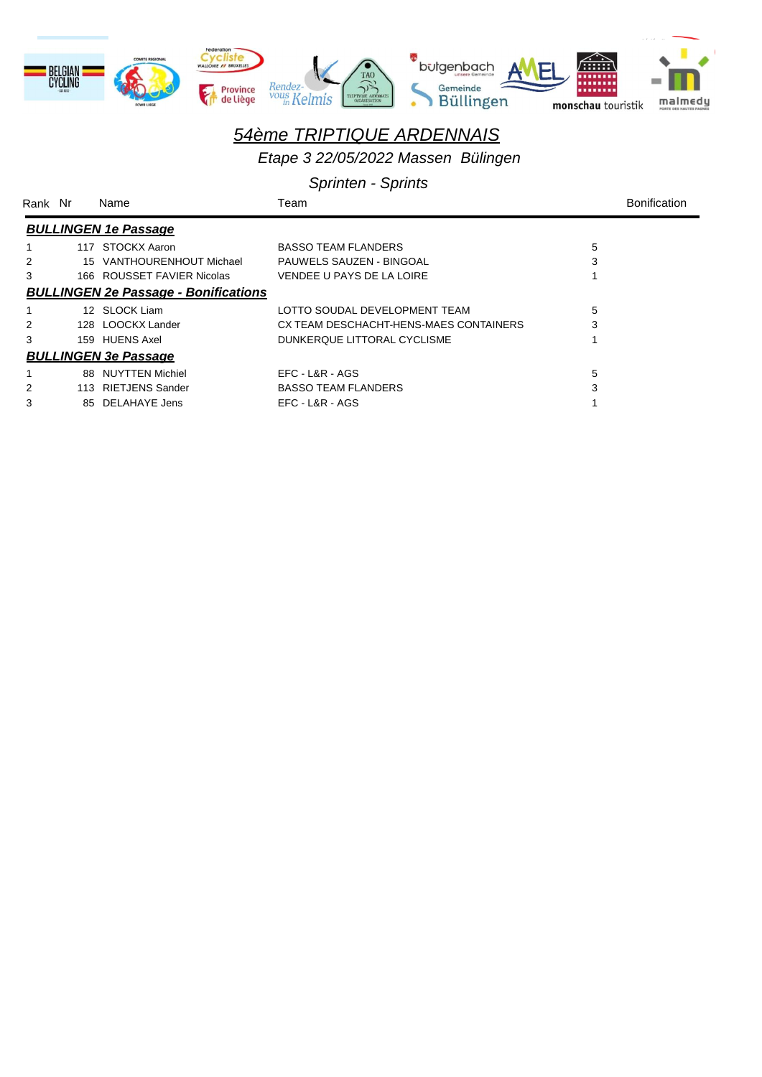

*Etape 3 22/05/2022 Massen Bülingen*

### *Sprinten - Sprints*

| Rank Nr |                                             | Name                        | Team                                        | <b>Bonification</b> |  |  |  |  |  |  |
|---------|---------------------------------------------|-----------------------------|---------------------------------------------|---------------------|--|--|--|--|--|--|
|         | <b>BULLINGEN 1e Passage</b>                 |                             |                                             |                     |  |  |  |  |  |  |
|         |                                             | 117 STOCKX Aaron            | 5<br><b>BASSO TEAM FLANDERS</b>             |                     |  |  |  |  |  |  |
| 2       |                                             | 15 VANTHOURENHOUT Michael   | PAUWELS SAUZEN - BINGOAL<br>3               |                     |  |  |  |  |  |  |
| 3       |                                             | 166 ROUSSET FAVIER Nicolas  | VENDEE U PAYS DE LA LOIRE                   |                     |  |  |  |  |  |  |
|         | <b>BULLINGEN 2e Passage - Bonifications</b> |                             |                                             |                     |  |  |  |  |  |  |
|         |                                             | 12 SLOCK Liam               | 5<br>LOTTO SOUDAL DEVELOPMENT TEAM          |                     |  |  |  |  |  |  |
| 2       |                                             | 128 LOOCKX Lander           | 3<br>CX TEAM DESCHACHT-HENS-MAES CONTAINERS |                     |  |  |  |  |  |  |
| 3       |                                             | 159 HUENS Axel              | DUNKERQUE LITTORAL CYCLISME                 |                     |  |  |  |  |  |  |
|         |                                             | <b>BULLINGEN 3e Passage</b> |                                             |                     |  |  |  |  |  |  |
|         |                                             | 88 NUYTTEN Michiel          | 5<br>EFC - L&R - AGS                        |                     |  |  |  |  |  |  |
| 2       |                                             | 113 RIETJENS Sander         | <b>BASSO TEAM FLANDERS</b><br>3             |                     |  |  |  |  |  |  |
| 3       | 85                                          | DELAHAYE Jens               | EFC - L&R - AGS                             |                     |  |  |  |  |  |  |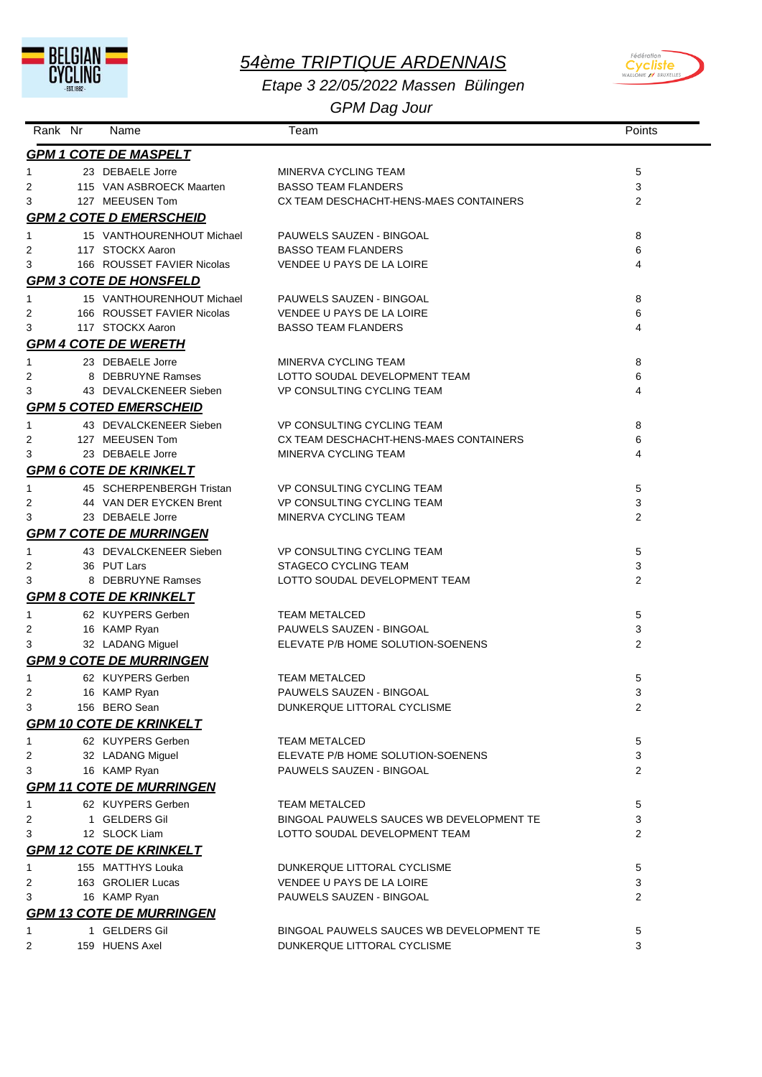



*Etape 3 22/05/2022 Massen Bülingen*



*GPM Dag Jour*

|                | Rank Nr | Name                            | Team                                     | Points                  |
|----------------|---------|---------------------------------|------------------------------------------|-------------------------|
|                |         | <b>GPM 1 COTE DE MASPELT</b>    |                                          |                         |
| 1              |         | 23 DEBAELE Jorre                | MINERVA CYCLING TEAM                     | 5                       |
| 2              |         | 115 VAN ASBROECK Maarten        | <b>BASSO TEAM FLANDERS</b>               | $\mathbf{3}$            |
| 3              |         | 127 MEEUSEN Tom                 | CX TEAM DESCHACHT-HENS-MAES CONTAINERS   | $\overline{2}$          |
|                |         | <b>GPM 2 COTE D EMERSCHEID</b>  |                                          |                         |
| 1              |         | 15 VANTHOURENHOUT Michael       | PAUWELS SAUZEN - BINGOAL                 | 8                       |
| $\overline{2}$ |         | 117 STOCKX Aaron                | <b>BASSO TEAM FLANDERS</b>               | 6                       |
| 3              |         | 166 ROUSSET FAVIER Nicolas      | <b>VENDEE U PAYS DE LA LOIRE</b>         | 4                       |
|                |         | <b>GPM 3 COTE DE HONSFELD</b>   |                                          |                         |
| $\mathbf{1}$   |         | 15 VANTHOURENHOUT Michael       | PAUWELS SAUZEN - BINGOAL                 | 8                       |
| 2              |         | 166 ROUSSET FAVIER Nicolas      | VENDEE U PAYS DE LA LOIRE                | 6                       |
| 3              |         | 117 STOCKX Aaron                | <b>BASSO TEAM FLANDERS</b>               | 4                       |
|                |         | <b>GPM 4 COTE DE WERETH</b>     |                                          |                         |
| 1              |         | 23 DEBAELE Jorre                | MINERVA CYCLING TEAM                     | 8                       |
| 2              |         | 8 DEBRUYNE Ramses               | LOTTO SOUDAL DEVELOPMENT TEAM            | 6                       |
| 3              |         | 43 DEVALCKENEER Sieben          | VP CONSULTING CYCLING TEAM               | 4                       |
|                |         | <b>GPM 5 COTED EMERSCHEID</b>   |                                          |                         |
| 1              |         | 43 DEVALCKENEER Sieben          | <b>VP CONSULTING CYCLING TEAM</b>        | 8                       |
| 2              |         | 127 MEEUSEN Tom                 | CX TEAM DESCHACHT-HENS-MAES CONTAINERS   | 6                       |
| 3              |         | 23 DEBAELE Jorre                | MINERVA CYCLING TEAM                     | $\overline{\mathbf{4}}$ |
|                |         | <b>GPM 6 COTE DE KRINKELT</b>   |                                          |                         |
| 1              |         | 45 SCHERPENBERGH Tristan        | <b>VP CONSULTING CYCLING TEAM</b>        | 5                       |
| 2              |         | 44 VAN DER EYCKEN Brent         | <b>VP CONSULTING CYCLING TEAM</b>        | 3                       |
| 3              |         | 23 DEBAELE Jorre                | MINERVA CYCLING TEAM                     | 2                       |
|                |         | <b>GPM 7 COTE DE MURRINGEN</b>  |                                          |                         |
| 1              |         | 43 DEVALCKENEER Sieben          | VP CONSULTING CYCLING TEAM               | 5                       |
| 2              |         | 36 PUT Lars                     | STAGECO CYCLING TEAM                     | 3                       |
| 3              |         | 8 DEBRUYNE Ramses               | LOTTO SOUDAL DEVELOPMENT TEAM            | $\overline{2}$          |
|                |         | <b>GPM 8 COTE DE KRINKELT</b>   |                                          |                         |
| 1              |         | 62 KUYPERS Gerben               | <b>TEAM METALCED</b>                     | 5                       |
| 2              |         | 16 KAMP Ryan                    | PAUWELS SAUZEN - BINGOAL                 | 3                       |
| 3              |         | 32 LADANG Miguel                | ELEVATE P/B HOME SOLUTION-SOENENS        | 2                       |
|                |         | <b>GPM 9 COTE DE MURRINGEN</b>  |                                          |                         |
| 1              |         | 62 KUYPERS Gerben               | <b>TEAM METALCED</b>                     | 5                       |
| 2              |         | 16 KAMP Ryan                    | PAUWELS SAUZEN - BINGOAL                 | 3                       |
| 3              |         | 156 BERO Sean                   | DUNKERQUE LITTORAL CYCLISME              | 2                       |
|                |         | <b>GPM 10 COTE DE KRINKELT</b>  |                                          |                         |
| 1              |         | 62 KUYPERS Gerben               | <b>TEAM METALCED</b>                     | 5                       |
| 2              |         | 32 LADANG Miguel                | ELEVATE P/B HOME SOLUTION-SOENENS        | 3                       |
| 3              |         | 16 KAMP Ryan                    | PAUWELS SAUZEN - BINGOAL                 | $\overline{2}$          |
|                |         | <b>GPM 11 COTE DE MURRINGEN</b> |                                          |                         |
| 1              |         | 62 KUYPERS Gerben               | <b>TEAM METALCED</b>                     | 5                       |
| 2              |         | 1 GELDERS Gil                   | BINGOAL PAUWELS SAUCES WB DEVELOPMENT TE | 3                       |
| 3              |         | 12 SLOCK Liam                   | LOTTO SOUDAL DEVELOPMENT TEAM            | $\overline{2}$          |
|                |         | <b>GPM 12 COTE DE KRINKELT</b>  |                                          |                         |
| 1              |         | 155 MATTHYS Louka               | DUNKERQUE LITTORAL CYCLISME              | 5                       |
| 2              |         | 163 GROLIER Lucas               | VENDEE U PAYS DE LA LOIRE                | 3                       |
| 3              |         | 16 KAMP Ryan                    | PAUWELS SAUZEN - BINGOAL                 | $\overline{2}$          |
|                |         | <b>GPM 13 COTE DE MURRINGEN</b> |                                          |                         |
| 1              |         | 1 GELDERS Gil                   | BINGOAL PAUWELS SAUCES WB DEVELOPMENT TE | 5                       |
| $\overline{2}$ |         | 159 HUENS Axel                  | DUNKERQUE LITTORAL CYCLISME              | 3                       |
|                |         |                                 |                                          |                         |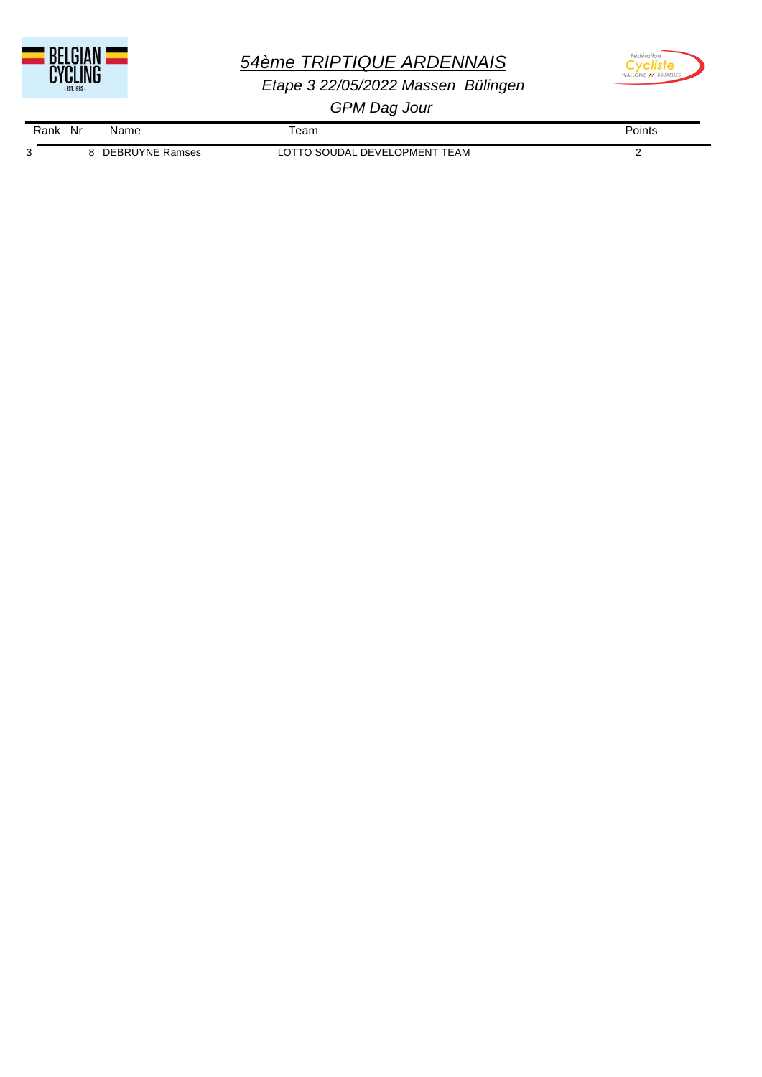



*Etape 3 22/05/2022 Massen Bülingen*

*GPM Dag Jour*

Rank Nr Name Team Points

3 8 DEBRUYNE Ramses LOTTO SOUDAL DEVELOPMENT TEAM 2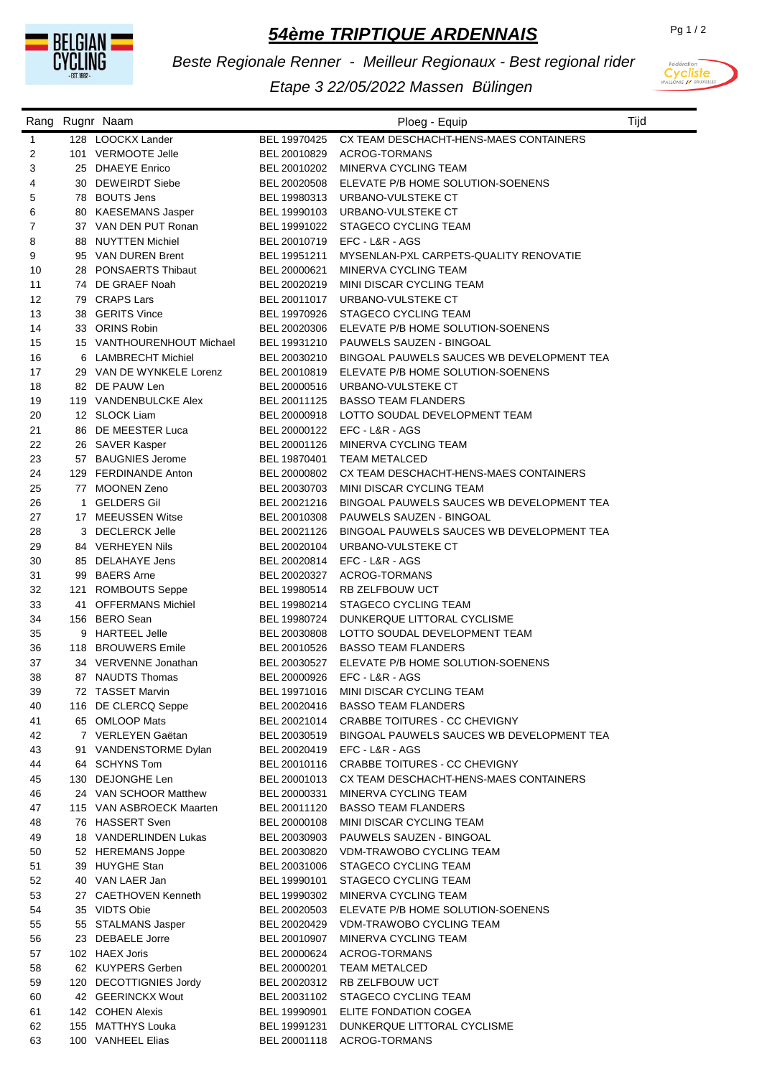

*Beste Regionale Renner - Meilleur Regionaux - Best regional rider*



|              | Rang Rugnr Naam           |              | Ploeg - Equip                             | Tijd |
|--------------|---------------------------|--------------|-------------------------------------------|------|
| $\mathbf{1}$ | 128 LOOCKX Lander         | BEL 19970425 | CX TEAM DESCHACHT-HENS-MAES CONTAINERS    |      |
| 2            | 101 VERMOOTE Jelle        | BEL 20010829 | ACROG-TORMANS                             |      |
| 3            | 25 DHAEYE Enrico          | BEL 20010202 | MINERVA CYCLING TEAM                      |      |
| 4            | 30 DEWEIRDT Siebe         | BEL 20020508 | ELEVATE P/B HOME SOLUTION-SOENENS         |      |
| 5            | 78 BOUTS Jens             |              | BEL 19980313 URBANO-VULSTEKE CT           |      |
| 6            | 80 KAESEMANS Jasper       |              | BEL 19990103 URBANO-VULSTEKE CT           |      |
| 7            | 37 VAN DEN PUT Ronan      |              | BEL 19991022 STAGECO CYCLING TEAM         |      |
| 8            | 88 NUYTTEN Michiel        | BEL 20010719 | EFC - L&R - AGS                           |      |
| 9            | 95 VAN DUREN Brent        | BEL 19951211 | MYSENLAN-PXL CARPETS-QUALITY RENOVATIE    |      |
| 10           | 28 PONSAERTS Thibaut      | BEL 20000621 | MINERVA CYCLING TEAM                      |      |
| 11           | 74 DE GRAEF Noah          | BEL 20020219 | MINI DISCAR CYCLING TEAM                  |      |
| 12           | 79 CRAPS Lars             | BEL 20011017 | URBANO-VULSTEKE CT                        |      |
| 13           | 38 GERITS Vince           | BEL 19970926 | <b>STAGECO CYCLING TEAM</b>               |      |
| 14           | 33 ORINS Robin            | BEL 20020306 | ELEVATE P/B HOME SOLUTION-SOENENS         |      |
| 15           | 15 VANTHOURENHOUT Michael | BEL 19931210 | PAUWELS SAUZEN - BINGOAL                  |      |
| 16           | 6 LAMBRECHT Michiel       | BEL 20030210 | BINGOAL PAUWELS SAUCES WB DEVELOPMENT TEA |      |
| 17           | 29 VAN DE WYNKELE Lorenz  | BEL 20010819 | ELEVATE P/B HOME SOLUTION-SOENENS         |      |
| 18           | 82 DE PAUW Len            | BEL 20000516 | URBANO-VULSTEKE CT                        |      |
| 19           | 119 VANDENBULCKE Alex     | BEL 20011125 | <b>BASSO TEAM FLANDERS</b>                |      |
| 20           | 12 SLOCK Liam             | BEL 20000918 | LOTTO SOUDAL DEVELOPMENT TEAM             |      |
| 21           | 86 DE MEESTER Luca        | BEL 20000122 | EFC - L&R - AGS                           |      |
| 22           | 26 SAVER Kasper           | BEL 20001126 | MINERVA CYCLING TEAM                      |      |
| 23           | 57 BAUGNIES Jerome        | BEL 19870401 | <b>TEAM METALCED</b>                      |      |
| 24           | 129 FERDINANDE Anton      | BEL 20000802 | CX TEAM DESCHACHT-HENS-MAES CONTAINERS    |      |
| 25           | 77 MOONEN Zeno            | BEL 20030703 | MINI DISCAR CYCLING TEAM                  |      |
| 26           | 1 GELDERS Gil             | BEL 20021216 | BINGOAL PAUWELS SAUCES WB DEVELOPMENT TEA |      |
| 27           | 17 MEEUSSEN Witse         | BEL 20010308 | PAUWELS SAUZEN - BINGOAL                  |      |
| 28           | 3 DECLERCK Jelle          | BEL 20021126 | BINGOAL PAUWELS SAUCES WB DEVELOPMENT TEA |      |
| 29           | 84 VERHEYEN Nils          | BEL 20020104 | URBANO-VULSTEKE CT                        |      |
| 30           | 85 DELAHAYE Jens          | BEL 20020814 | EFC - L&R - AGS                           |      |
| 31           | 99 BAERS Arne             | BEL 20020327 | ACROG-TORMANS                             |      |
| 32           | 121 ROMBOUTS Seppe        | BEL 19980514 | RB ZELFBOUW UCT                           |      |
| 33           | 41 OFFERMANS Michiel      | BEL 19980214 | STAGECO CYCLING TEAM                      |      |
| 34           | 156 BERO Sean             | BEL 19980724 | DUNKERQUE LITTORAL CYCLISME               |      |
| 35           | 9 HARTEEL Jelle           | BEL 20030808 | LOTTO SOUDAL DEVELOPMENT TEAM             |      |
| 36           | 118 BROUWERS Emile        | BEL 20010526 | <b>BASSO TEAM FLANDERS</b>                |      |
| 37           | 34 VERVENNE Jonathan      | BEL 20030527 | ELEVATE P/B HOME SOLUTION-SOENENS         |      |
| 38           | 87 NAUDTS Thomas          | BEL 20000926 | EFC - L&R - AGS                           |      |
| 39           | 72 TASSET Marvin          | BEL 19971016 | MINI DISCAR CYCLING TEAM                  |      |
| 40           | 116 DE CLERCQ Seppe       | BEL 20020416 | <b>BASSO TEAM FLANDERS</b>                |      |
| 41           | 65 OMLOOP Mats            | BEL 20021014 | CRABBE TOITURES - CC CHEVIGNY             |      |
| 42           | 7 VERLEYEN Gaëtan         | BEL 20030519 | BINGOAL PAUWELS SAUCES WB DEVELOPMENT TEA |      |
| 43           | 91 VANDENSTORME Dylan     | BEL 20020419 | EFC - L&R - AGS                           |      |
| 44           | 64 SCHYNS Tom             | BEL 20010116 | CRABBE TOITURES - CC CHEVIGNY             |      |
| 45           | 130 DEJONGHE Len          | BEL 20001013 | CX TEAM DESCHACHT-HENS-MAES CONTAINERS    |      |
| 46           | 24 VAN SCHOOR Matthew     | BEL 20000331 | MINERVA CYCLING TEAM                      |      |
| 47           | 115 VAN ASBROECK Maarten  | BEL 20011120 | <b>BASSO TEAM FLANDERS</b>                |      |
| 48           | 76 HASSERT Sven           | BEL 20000108 | MINI DISCAR CYCLING TEAM                  |      |
| 49           | 18 VANDERLINDEN Lukas     | BEL 20030903 | PAUWELS SAUZEN - BINGOAL                  |      |
| 50           | 52 HEREMANS Joppe         | BEL 20030820 | VDM-TRAWOBO CYCLING TEAM                  |      |
| 51           | 39 HUYGHE Stan            | BEL 20031006 | STAGECO CYCLING TEAM                      |      |
| 52           | 40 VAN LAER Jan           | BEL 19990101 | STAGECO CYCLING TEAM                      |      |
| 53           | 27 CAETHOVEN Kenneth      | BEL 19990302 | MINERVA CYCLING TEAM                      |      |
| 54           | 35 VIDTS Obie             | BEL 20020503 | ELEVATE P/B HOME SOLUTION-SOENENS         |      |
| 55           | 55 STALMANS Jasper        | BEL 20020429 | VDM-TRAWOBO CYCLING TEAM                  |      |
| 56           | 23 DEBAELE Jorre          | BEL 20010907 | MINERVA CYCLING TEAM                      |      |
| 57           | 102 HAEX Joris            | BEL 20000624 | ACROG-TORMANS                             |      |
| 58           | 62 KUYPERS Gerben         | BEL 20000201 | <b>TEAM METALCED</b>                      |      |
| 59           | 120 DECOTTIGNIES Jordy    | BEL 20020312 | RB ZELFBOUW UCT                           |      |
| 60           | 42 GEERINCKX Wout         | BEL 20031102 | STAGECO CYCLING TEAM                      |      |
| 61           | 142 COHEN Alexis          | BEL 19990901 | ELITE FONDATION COGEA                     |      |
| 62           | 155 MATTHYS Louka         | BEL 19991231 | DUNKERQUE LITTORAL CYCLISME               |      |
| 63           | 100 VANHEEL Elias         |              | BEL 20001118 ACROG-TORMANS                |      |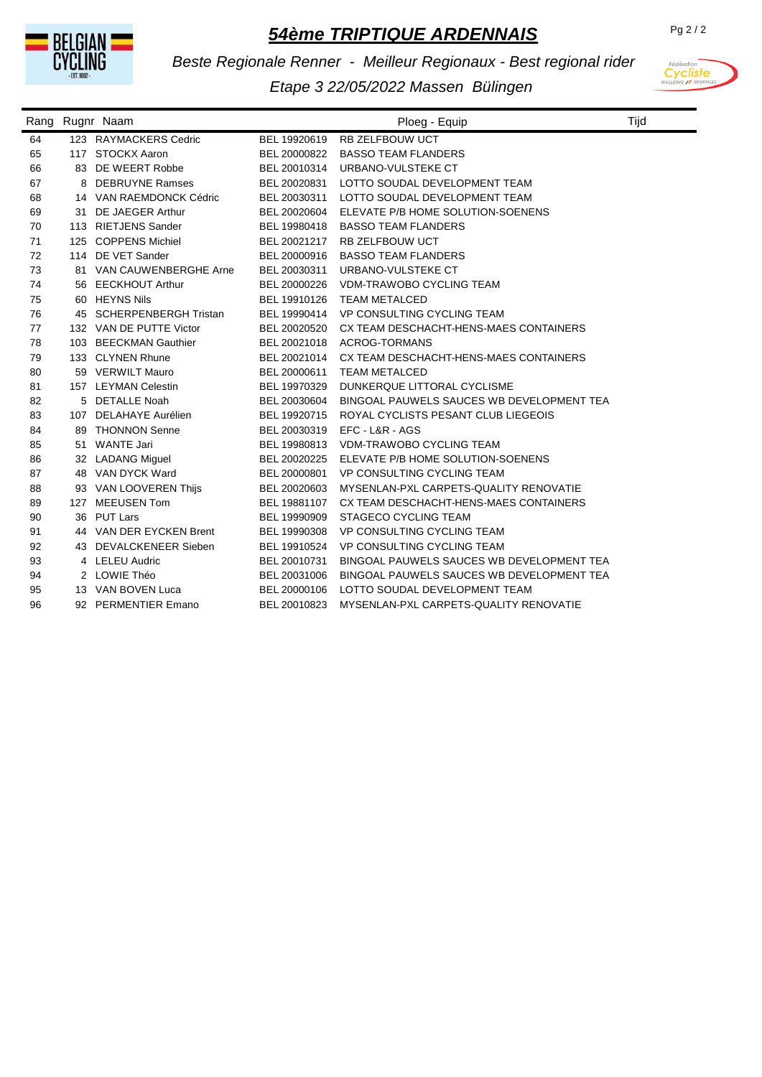

*Beste Regionale Renner - Meilleur Regionaux - Best regional rider*



| Rang | Rugnr Naam               |              | Ploeg - Equip                             | Tijd |
|------|--------------------------|--------------|-------------------------------------------|------|
| 64   | 123 RAYMACKERS Cedric    | BEL 19920619 | RB ZELFBOUW UCT                           |      |
| 65   | 117 STOCKX Aaron         | BEL 20000822 | <b>BASSO TEAM FLANDERS</b>                |      |
| 66   | 83 DE WEERT Robbe        | BEL 20010314 | URBANO-VULSTEKE CT                        |      |
| 67   | 8 DEBRUYNE Ramses        | BEL 20020831 | LOTTO SOUDAL DEVELOPMENT TEAM             |      |
| 68   | 14 VAN RAEMDONCK Cédric  | BEL 20030311 | LOTTO SOUDAL DEVELOPMENT TEAM             |      |
| 69   | 31 DE JAEGER Arthur      | BEL 20020604 | ELEVATE P/B HOME SOLUTION-SOENENS         |      |
| 70   | 113 RIETJENS Sander      | BEL 19980418 | <b>BASSO TEAM FLANDERS</b>                |      |
| 71   | 125 COPPENS Michiel      | BEL 20021217 | <b>RB ZELFBOUW UCT</b>                    |      |
| 72   | 114 DE VET Sander        | BEL 20000916 | <b>BASSO TEAM FLANDERS</b>                |      |
| 73   | 81 VAN CAUWENBERGHE Arne | BEL 20030311 | URBANO-VULSTEKE CT                        |      |
| 74   | 56 EECKHOUT Arthur       | BEL 20000226 | <b>VDM-TRAWOBO CYCLING TEAM</b>           |      |
| 75   | 60 HEYNS Nils            | BEL 19910126 | <b>TEAM METALCED</b>                      |      |
| 76   | 45 SCHERPENBERGH Tristan | BEL 19990414 | VP CONSULTING CYCLING TEAM                |      |
| 77   | 132 VAN DE PUTTE Victor  | BEL 20020520 | CX TEAM DESCHACHT-HENS-MAES CONTAINERS    |      |
| 78   | 103 BEECKMAN Gauthier    | BEL 20021018 | ACROG-TORMANS                             |      |
| 79   | 133 CLYNEN Rhune         | BEL 20021014 | CX TEAM DESCHACHT-HENS-MAES CONTAINERS    |      |
| 80   | 59 VERWILT Mauro         | BEL 20000611 | <b>TEAM METALCED</b>                      |      |
| 81   | 157 LEYMAN Celestin      | BEL 19970329 | DUNKERQUE LITTORAL CYCLISME               |      |
| 82   | 5 DETALLE Noah           | BEL 20030604 | BINGOAL PAUWELS SAUCES WB DEVELOPMENT TEA |      |
| 83   | 107 DELAHAYE Aurélien    | BEL 19920715 | ROYAL CYCLISTS PESANT CLUB LIEGEOIS       |      |
| 84   | 89 THONNON Senne         | BEL 20030319 | EFC - L&R - AGS                           |      |
| 85   | 51 WANTE Jari            | BEL 19980813 | <b>VDM-TRAWOBO CYCLING TEAM</b>           |      |
| 86   | 32 LADANG Miguel         | BEL 20020225 | ELEVATE P/B HOME SOLUTION-SOENENS         |      |
| 87   | 48 VAN DYCK Ward         | BEL 20000801 | <b>VP CONSULTING CYCLING TEAM</b>         |      |
| 88   | 93 VAN LOOVEREN Thijs    | BEL 20020603 | MYSENLAN-PXL CARPETS-QUALITY RENOVATIE    |      |
| 89   | 127 MEEUSEN Tom          | BEL 19881107 | CX TEAM DESCHACHT-HENS-MAES CONTAINERS    |      |
| 90   | 36 PUT Lars              | BEL 19990909 | <b>STAGECO CYCLING TEAM</b>               |      |
| 91   | 44 VAN DER EYCKEN Brent  | BEL 19990308 | VP CONSULTING CYCLING TEAM                |      |
| 92   | 43 DEVALCKENEER Sieben   | BEL 19910524 | VP CONSULTING CYCLING TEAM                |      |
| 93   | 4 LELEU Audric           | BEL 20010731 | BINGOAL PAUWELS SAUCES WB DEVELOPMENT TEA |      |
| 94   | 2 LOWIE Théo             | BEL 20031006 | BINGOAL PAUWELS SAUCES WB DEVELOPMENT TEA |      |
| 95   | 13 VAN BOVEN Luca        | BEL 20000106 | LOTTO SOUDAL DEVELOPMENT TEAM             |      |
| 96   | 92 PERMENTIER Emano      | BEL 20010823 | MYSENLAN-PXL CARPETS-QUALITY RENOVATIE    |      |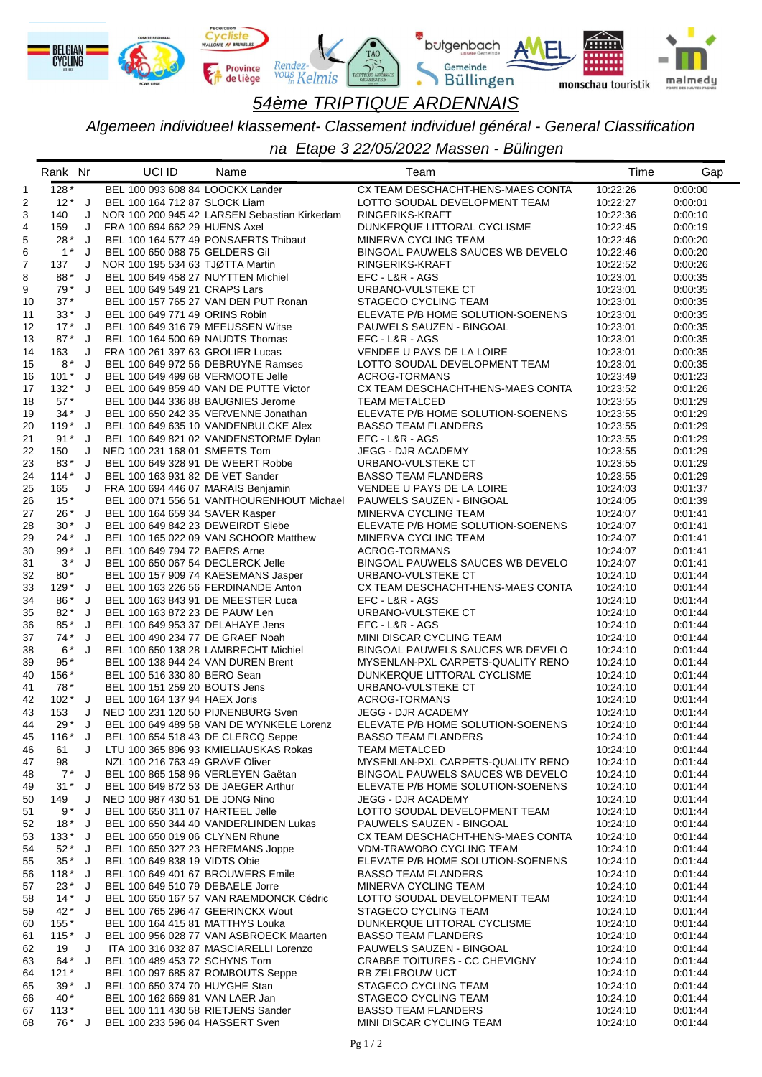

*Algemeen individueel klassement- Classement individuel général - General Classification na Etape 3 22/05/2022 Massen - Bülingen*

|          | Rank Nr            |        | UCI ID                                                                 | Name                                                                              | Team                                                                                          | Time                 | Gap                |
|----------|--------------------|--------|------------------------------------------------------------------------|-----------------------------------------------------------------------------------|-----------------------------------------------------------------------------------------------|----------------------|--------------------|
| 1        | $128*$             |        | BEL 100 093 608 84 LOOCKX Lander                                       |                                                                                   | CX TEAM DESCHACHT-HENS-MAES CONTA                                                             | 10:22:26             | 0:00:00            |
| 2        | $12*$              | J      | BEL 100 164 712 87 SLOCK Liam                                          |                                                                                   | LOTTO SOUDAL DEVELOPMENT TEAM                                                                 | 10:22:27             | 0:00:01            |
| 3        | 140                | J      |                                                                        | NOR 100 200 945 42 LARSEN Sebastian Kirkedam                                      | RINGERIKS-KRAFT                                                                               | 10:22:36             | 0:00:10            |
| 4        | 159                | J      | FRA 100 694 662 29 HUENS Axel                                          |                                                                                   | DUNKERQUE LITTORAL CYCLISME                                                                   | 10:22:45             | 0:00:19            |
| 5        | $28*$<br>$1^*$     | J      | BEL 100 650 088 75 GELDERS Gil                                         | BEL 100 164 577 49 PONSAERTS Thibaut                                              | MINERVA CYCLING TEAM<br>BINGOAL PAUWELS SAUCES WB DEVELO                                      | 10:22:46<br>10:22:46 | 0:00:20<br>0:00:20 |
| 6<br>7   | 137                | J<br>J | NOR 100 195 534 63 TJØTTA Martin                                       |                                                                                   | RINGERIKS-KRAFT                                                                               | 10:22:52             | 0:00:26            |
| 8        | 88*                | J      | BEL 100 649 458 27 NUYTTEN Michiel                                     |                                                                                   |                                                                                               | 10:23:01             | 0:00:35            |
| 9        | 79*                | J      | BEL 100 649 549 21 CRAPS Lars                                          |                                                                                   | EFC - L&R - AGS<br>URBANO-VULSTEKE CT                                                         | 10:23:01             | 0:00:35            |
| 10       | $37*$              |        |                                                                        | BEL 100 157 765 27 VAN DEN PUT Ronan                                              | STAGECO CYCLING TEAM                                                                          | 10:23:01             | 0:00:35            |
| 11       | $33*$              | J      | BEL 100 649 771 49 ORINS Robin                                         |                                                                                   | ELEVATE P/B HOME SOLUTION-SOENENS                                                             | 10:23:01             | 0:00:35            |
| 12       | $17^*$ J           |        |                                                                        | BEL 100 649 316 79 MEEUSSEN Witse                                                 | PAUWELS SAUZEN - BINGOAL                                                                      | 10:23:01             | 0:00:35            |
| 13       | $87*$              | J      |                                                                        | BEL 100 164 500 69 NAUDTS Thomas                                                  | EFC - L&R - AGS                                                                               | 10:23:01             | 0:00:35            |
| 14       | 163                | J      | FRA 100 261 397 63 GROLIER Lucas                                       |                                                                                   | VENDEE U PAYS DE LA LOIRE                                                                     | 10:23:01             | 0:00:35            |
| 15       | $8*$               | J      |                                                                        | BEL 100 649 972 56 DEBRUYNE Ramses                                                | LOTTO SOUDAL DEVELOPMENT TEAM                                                                 | 10:23:01             | 0:00:35            |
| 16<br>17 | $101*$ J<br>$132*$ | J      | BEL 100 649 499 68 VERMOOTE Jelle                                      | BEL 100 649 859 40 VAN DE PUTTE Victor                                            | ACROG-TORMANS<br>CX TEAM DESCHACHT-HENS-MAES CONTA                                            | 10:23:49<br>10:23:52 | 0:01:23<br>0:01:26 |
| 18       | $57*$              |        | BEL 100 044 336 88 BAUGNIES Jerome                                     |                                                                                   | <b>TEAM METALCED</b>                                                                          | 10:23:55             | 0:01:29            |
| 19       | $34*$              | J      |                                                                        | BEL 100 650 242 35 VERVENNE Jonathan                                              | ELEVATE P/B HOME SOLUTION-SOENENS                                                             | 10:23:55             | 0:01:29            |
| 20       | $119*$             | J      |                                                                        | BEL 100 649 635 10 VANDENBULCKE Alex                                              | <b>BASSO TEAM FLANDERS</b>                                                                    | 10:23:55             | 0:01:29            |
| 21       | $91*$              | J      |                                                                        | BEL 100 649 821 02 VANDENSTORME Dylan                                             |                                                                                               | 10:23:55             | 0:01:29            |
| 22       | 150                | J      | NED 100 231 168 01 SMEETS Tom                                          |                                                                                   | <b>ERISSO TEAM LEADERS</b><br>JEGG - DJR ACADEMY<br>URBANO-VULSTEKE CT<br>BASSO TEAM FLANDERS | 10:23:55             | 0:01:29            |
| 23       | 83*                | J      | BEL 100 649 328 91 DE WEERT Robbe                                      |                                                                                   |                                                                                               | 10:23:55             | 0:01:29            |
| 24       | $114*$             | J      | BEL 100 163 931 82 DE VET Sander                                       |                                                                                   |                                                                                               | 10:23:55             | 0:01:29            |
| 25       | 165                | J      | FRA 100 694 446 07 MARAIS Benjamin                                     |                                                                                   | VENDEE U PAYS DE LA LOIRE                                                                     | 10:24:03             | 0:01:37            |
| 26       | $15*$              |        |                                                                        |                                                                                   |                                                                                               | 10:24:05             | 0:01:39            |
| 27<br>28 | $26*$<br>$30*$     | J<br>J | BEL 100 164 659 34 SAVER Kasper<br>BEL 100 649 842 23 DEWEIRDT Siebe   |                                                                                   | MINERVA CYCLING TEAM<br>ELEVATE P/B HOME SOLUTION-SOENENS                                     | 10:24:07<br>10:24:07 | 0.01.41<br>0.01.41 |
| 29       | $24*$              | J      |                                                                        | BEL 100 165 022 09 VAN SCHOOR Matthew                                             | MINERVA CYCLING TEAM                                                                          | 10:24:07             | 0.01.41            |
| 30       | 99*                | J      | BEL 100 649 794 72 BAERS Arne                                          |                                                                                   | ACROG-TORMANS                                                                                 | 10:24:07             | 0.01.41            |
| 31       | $3*$               | J      | BEL 100 650 067 54 DECLERCK Jelle                                      |                                                                                   | BINGOAL PAUWELS SAUCES WB DEVELO                                                              | 10:24:07             | 0.01.41            |
| 32       | $80*$              |        |                                                                        | BEL 100 157 909 74 KAESEMANS Jasper                                               | URBANO-VULSTEKE CT                                                                            | 10:24:10             | 0:01:44            |
| 33       | $129*$ J           |        |                                                                        | BEL 100 163 226 56 FERDINANDE Anton                                               | CX TEAM DESCHACHT-HENS-MAES CONTA                                                             | 10:24:10             | 0:01:44            |
| 34       | 86*                | J      | BEL 100 163 843 91 DE MEESTER Luca                                     |                                                                                   | EFC - L&R - AGS                                                                               | 10:24:10             | 0:01:44            |
| 35       | 82 *               | J      | BEL 100 163 872 23 DE PAUW Len                                         |                                                                                   | URBANO-VULSTEKE CT                                                                            | 10:24:10             | 0:01:44            |
| 36       | 85*                | J      | BEL 100 649 953 37 DELAHAYE Jens                                       |                                                                                   | EFC - L&R - AGS                                                                               | 10:24:10             | 0:01:44            |
| 37       | $74*$              | J      | BEL 100 490 234 77 DE GRAEF Noah                                       |                                                                                   | MINI DISCAR CYCLING TEAM                                                                      | 10:24:10             | 0:01:44            |
| 38<br>39 | $6*$<br>95 *       | J      |                                                                        | BEL 100 650 138 28 LAMBRECHT Michiel<br>BEL 100 138 944 24 VAN DUREN Brent        | BINGOAL PAUWELS SAUCES WB DEVELO<br>MYSENLAN-PXL CARPETS-QUALITY RENO                         | 10:24:10<br>10:24:10 | 0:01:44<br>0:01:44 |
| 40       | $156*$             |        | BEL 100 516 330 80 BERO Sean                                           |                                                                                   | DUNKERQUE LITTORAL CYCLISME                                                                   | 10:24:10             | 0:01:44            |
| 41       | 78 *               |        | BEL 100 151 259 20 BOUTS Jens                                          |                                                                                   | URBANO-VULSTEKE CT                                                                            | 10:24:10             | 0:01:44            |
| 42       | 102 *              | J      | BEL 100 164 137 94 HAEX Joris                                          |                                                                                   | <b>ACROG-TORMANS</b>                                                                          | 10:24:10             | 0:01:44            |
| 43       | 153                | J      | NED 100 231 120 50 PIJNENBURG Sven                                     |                                                                                   | JEGG - DJR ACADEMY                                                                            | 10:24:10             | 0:01:44            |
| 44       | 29 *               | J      |                                                                        | BEL 100 649 489 58 VAN DE WYNKELE Lorenz                                          | ELEVATE P/B HOME SOLUTION-SOENENS                                                             | 10:24:10             | 0:01:44            |
| 45       |                    |        | 116* J BEL 100 654 518 43 DE CLERCQ Seppe                              |                                                                                   | BASSO TEAM FLANDERS                                                                           | 10:24:10             | 0:01:44            |
| 46       | 61                 | J      |                                                                        | LTU 100 365 896 93 KMIELIAUSKAS Rokas                                             | <b>TEAM METALCED</b>                                                                          | 10:24:10             | 0.01.44            |
| 47       | 98                 |        | NZL 100 216 763 49 GRAVE Oliver                                        |                                                                                   | MYSENLAN-PXL CARPETS-QUALITY RENO                                                             | 10:24:10             | 0:01:44            |
| 48       | $7*$               | J      | BEL 100 865 158 96 VERLEYEN Gaëtan                                     |                                                                                   | BINGOAL PAUWELS SAUCES WB DEVELO                                                              | 10:24:10             | 0.01.44            |
| 49       | $31*$              | J      | BEL 100 649 872 53 DE JAEGER Arthur<br>NED 100 987 430 51 DE JONG Nino |                                                                                   | ELEVATE P/B HOME SOLUTION-SOENENS                                                             | 10:24:10<br>10:24:10 | 0:01:44            |
| 50<br>51 | 149<br>$9*$        | J<br>J | BEL 100 650 311 07 HARTEEL Jelle                                       |                                                                                   | JEGG - DJR ACADEMY<br>LOTTO SOUDAL DEVELOPMENT TEAM                                           | 10:24:10             | 0:01:44<br>0:01:44 |
| 52       | $18*$              | J      |                                                                        | BEL 100 650 344 40 VANDERLINDEN Lukas                                             | PAUWELS SAUZEN - BINGOAL                                                                      | 10:24:10             | 0.01.44            |
| 53       | $133*$ J           |        | BEL 100 650 019 06 CLYNEN Rhune                                        |                                                                                   | CX TEAM DESCHACHT-HENS-MAES CONTA                                                             | 10:24:10             | 0:01:44            |
| 54       | $52*$              | J      | BEL 100 650 327 23 HEREMANS Joppe                                      |                                                                                   | VDM-TRAWOBO CYCLING TEAM                                                                      | 10:24:10             | 0:01:44            |
| 55       | $35*$              | J      | BEL 100 649 838 19 VIDTS Obie                                          |                                                                                   | ELEVATE P/B HOME SOLUTION-SOENENS                                                             | 10:24:10             | 0.01.44            |
| 56       | $118*$ J           |        | BEL 100 649 401 67 BROUWERS Emile                                      |                                                                                   | <b>BASSO TEAM FLANDERS</b>                                                                    | 10:24:10             | 0:01:44            |
| 57       | $23*$              | J      | BEL 100 649 510 79 DEBAELE Jorre                                       |                                                                                   | MINERVA CYCLING TEAM                                                                          | 10:24:10             | 0.01.44            |
| 58       | $14*$              | J      |                                                                        | BEL 100 650 167 57 VAN RAEMDONCK Cédric                                           | LOTTO SOUDAL DEVELOPMENT TEAM                                                                 | 10:24:10             | 0.01.44            |
| 59       | 42 *               | J      | BEL 100 765 296 47 GEERINCKX Wout                                      |                                                                                   | STAGECO CYCLING TEAM                                                                          | 10:24:10             | 0:01:44            |
| 60       | $155*$             |        | BEL 100 164 415 81 MATTHYS Louka                                       |                                                                                   | DUNKERQUE LITTORAL CYCLISME                                                                   | 10:24:10             | 0.01.44            |
| 61<br>62 | $115*$ J<br>19     | J      |                                                                        | BEL 100 956 028 77 VAN ASBROECK Maarten<br>ITA 100 316 032 87 MASCIARELLI Lorenzo | <b>BASSO TEAM FLANDERS</b><br>PAUWELS SAUZEN - BINGOAL                                        | 10:24:10<br>10:24:10 | 0.01.44<br>0:01:44 |
| 63       | 64 *               | J      | BEL 100 489 453 72 SCHYNS Tom                                          |                                                                                   | CRABBE TOITURES - CC CHEVIGNY                                                                 | 10:24:10             | 0:01:44            |
| 64       | $121*$             |        | BEL 100 097 685 87 ROMBOUTS Seppe                                      |                                                                                   | RB ZELFBOUW UCT                                                                               | 10:24:10             | 0:01:44            |
| 65       | $39*$              | J      | BEL 100 650 374 70 HUYGHE Stan                                         |                                                                                   | STAGECO CYCLING TEAM                                                                          | 10:24:10             | 0:01:44            |
| 66       | $40*$              |        | BEL 100 162 669 81 VAN LAER Jan                                        |                                                                                   | STAGECO CYCLING TEAM                                                                          | 10:24:10             | 0:01:44            |
| 67       | $113*$             |        | BEL 100 111 430 58 RIETJENS Sander                                     |                                                                                   | <b>BASSO TEAM FLANDERS</b>                                                                    | 10:24:10             | 0:01:44            |
| 68       | 76 *J              |        | BEL 100 233 596 04 HASSERT Sven                                        |                                                                                   | MINI DISCAR CYCLING TEAM                                                                      | 10:24:10             | 0.01.44            |
|          |                    |        |                                                                        |                                                                                   |                                                                                               |                      |                    |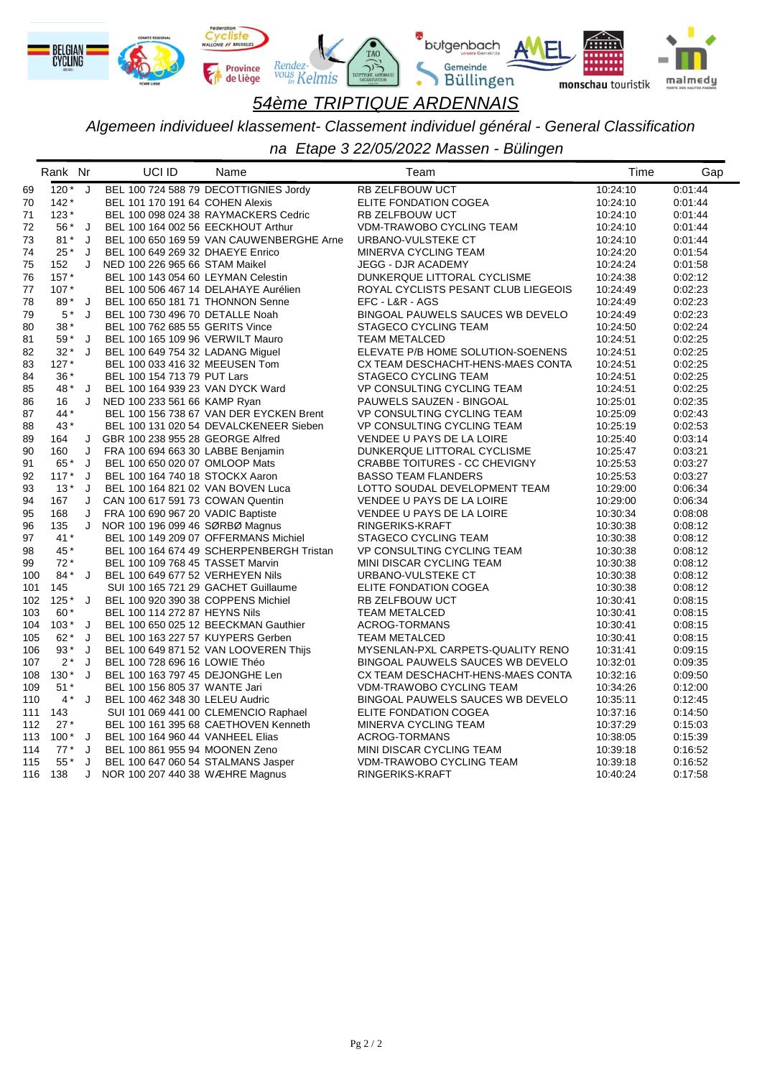

*Algemeen individueel klassement- Classement individuel général - General Classification na Etape 3 22/05/2022 Massen - Bülingen*

|     | Rank Nr       |                | UCI ID                             | Name                                     | Team                                | Time     | Gap     |
|-----|---------------|----------------|------------------------------------|------------------------------------------|-------------------------------------|----------|---------|
| 69  | 120 *         | J              |                                    | BEL 100 724 588 79 DECOTTIGNIES Jordy    | <b>RB ZELFBOUW UCT</b>              | 10:24:10 | 0:01:44 |
| 70  | $142*$        |                | BEL 101 170 191 64 COHEN Alexis    |                                          | ELITE FONDATION COGEA               | 10:24:10 | 0:01:44 |
| 71  | $123*$        |                |                                    | BEL 100 098 024 38 RAYMACKERS Cedric     | <b>RB ZELFBOUW UCT</b>              | 10:24:10 | 0:01:44 |
| 72  | 56 *          | J              | BEL 100 164 002 56 EECKHOUT Arthur |                                          | VDM-TRAWOBO CYCLING TEAM            | 10:24:10 | 0.01.44 |
| 73  | $81*$         | J              |                                    | BEL 100 650 169 59 VAN CAUWENBERGHE Arne | URBANO-VULSTEKE CT                  | 10:24:10 | 0.01.44 |
| 74  | $25*$         | $\mathbf{I}$ . | BEL 100 649 269 32 DHAEYE Enrico   |                                          | MINERVA CYCLING TEAM                | 10:24:20 | 0:01:54 |
| 75  | 152           | J              | NED 100 226 965 66 STAM Maikel     |                                          | <b>JEGG - DJR ACADEMY</b>           | 10:24:24 | 0:01:58 |
| 76  | 157*          |                | BEL 100 143 054 60 LEYMAN Celestin |                                          | DUNKERQUE LITTORAL CYCLISME         | 10:24:38 | 0:02:12 |
| 77  | $107*$        |                |                                    | BEL 100 506 467 14 DELAHAYE Aurélien     | ROYAL CYCLISTS PESANT CLUB LIEGEOIS | 10:24:49 | 0:02:23 |
| 78  | 89*           | J              | BEL 100 650 181 71 THONNON Senne   |                                          | EFC - L&R - AGS                     | 10:24:49 | 0:02:23 |
| 79  | $5*$          | J              | BEL 100 730 496 70 DETALLE Noah    |                                          | BINGOAL PAUWELS SAUCES WB DEVELO    | 10:24:49 | 0.02:23 |
| 80  | $38*$         |                | BEL 100 762 685 55 GERITS Vince    |                                          | <b>STAGECO CYCLING TEAM</b>         | 10:24:50 | 0.02:24 |
| 81  | 59 *          | J              | BEL 100 165 109 96 VERWILT Mauro   |                                          | <b>TEAM METALCED</b>                | 10:24:51 | 0:02:25 |
| 82  | $32*$         | J              | BEL 100 649 754 32 LADANG Miguel   |                                          | ELEVATE P/B HOME SOLUTION-SOENENS   | 10:24:51 | 0:02:25 |
| 83  | $127*$        |                | BEL 100 033 416 32 MEEUSEN Tom     |                                          | CX TEAM DESCHACHT-HENS-MAES CONTA   | 10:24:51 | 0:02:25 |
| 84  | $36*$         |                | BEL 100 154 713 79 PUT Lars        |                                          | STAGECO CYCLING TEAM                | 10:24:51 | 0:02:25 |
| 85  | 48 *          | J              | BEL 100 164 939 23 VAN DYCK Ward   |                                          | VP CONSULTING CYCLING TEAM          | 10:24:51 | 0:02:25 |
| 86  | 16            | J              | NED 100 233 561 66 KAMP Ryan       |                                          | PAUWELS SAUZEN - BINGOAL            | 10:25:01 | 0:02:35 |
| 87  | $44*$         |                |                                    | BEL 100 156 738 67 VAN DER EYCKEN Brent  | VP CONSULTING CYCLING TEAM          | 10:25:09 | 0:02:43 |
| 88  | $43*$         |                |                                    | BEL 100 131 020 54 DEVALCKENEER Sieben   | VP CONSULTING CYCLING TEAM          | 10:25:19 | 0.02:53 |
| 89  | 164           | J              | GBR 100 238 955 28 GEORGE Alfred   |                                          | VENDEE U PAYS DE LA LOIRE           | 10:25:40 | 0:03:14 |
| 90  | 160           | J              | FRA 100 694 663 30 LABBE Benjamin  |                                          | DUNKERQUE LITTORAL CYCLISME         | 10:25:47 | 0:03:21 |
| 91  | 65*           | J              | BEL 100 650 020 07 OMLOOP Mats     |                                          | CRABBE TOITURES - CC CHEVIGNY       | 10:25:53 | 0:03:27 |
| 92  | $117*$        | J              | BEL 100 164 740 18 STOCKX Aaron    |                                          | <b>BASSO TEAM FLANDERS</b>          | 10:25:53 | 0:03:27 |
| 93  | $13*$         | J              | BEL 100 164 821 02 VAN BOVEN Luca  |                                          | LOTTO SOUDAL DEVELOPMENT TEAM       | 10:29:00 | 0:06:34 |
| 94  | 167           | J              | CAN 100 617 591 73 COWAN Quentin   |                                          | VENDEE U PAYS DE LA LOIRE           | 10:29:00 | 0:06:34 |
| 95  | 168           | J              | FRA 100 690 967 20 VADIC Baptiste  |                                          | VENDEE U PAYS DE LA LOIRE           | 10:30:34 | 0:08:08 |
| 96  | 135           | J              | NOR 100 196 099 46 SØRBØ Magnus    |                                          | RINGERIKS-KRAFT                     | 10:30:38 | 0:08:12 |
| 97  | 41 *          |                |                                    | BEL 100 149 209 07 OFFERMANS Michiel     | STAGECO CYCLING TEAM                | 10:30:38 | 0:08:12 |
| 98  | 45*           |                |                                    | BEL 100 164 674 49 SCHERPENBERGH Tristan | VP CONSULTING CYCLING TEAM          | 10:30:38 | 0:08:12 |
| 99  | $72*$         |                | BEL 100 109 768 45 TASSET Marvin   |                                          | MINI DISCAR CYCLING TEAM            | 10:30:38 | 0:08:12 |
| 100 | $84*$ J       |                | BEL 100 649 677 52 VERHEYEN Nils   |                                          | URBANO-VULSTEKE CT                  | 10:30:38 | 0:08:12 |
| 101 | 145           |                |                                    | SUI 100 165 721 29 GACHET Guillaume      | ELITE FONDATION COGEA               | 10:30:38 | 0.08.12 |
| 102 | $125^*$ J     |                | BEL 100 920 390 38 COPPENS Michiel |                                          | <b>RB ZELFBOUW UCT</b>              | 10:30:41 | 0:08:15 |
| 103 | $60*$         |                | BEL 100 114 272 87 HEYNS Nils      |                                          | <b>TEAM METALCED</b>                | 10:30:41 | 0:08:15 |
| 104 | $103*$ J      |                |                                    | BEL 100 650 025 12 BEECKMAN Gauthier     | ACROG-TORMANS                       | 10:30:41 | 0:08:15 |
| 105 | $62*$         | J              | BEL 100 163 227 57 KUYPERS Gerben  |                                          | <b>TEAM METALCED</b>                | 10:30:41 | 0:08:15 |
| 106 | $93*$         | J              |                                    | BEL 100 649 871 52 VAN LOOVEREN Thijs    | MYSENLAN-PXL CARPETS-QUALITY RENO   | 10:31:41 | 0:09:15 |
| 107 | $2^*$         | J              | BEL 100 728 696 16 LOWIE Théo      |                                          | BINGOAL PAUWELS SAUCES WB DEVELO    | 10:32:01 | 0:09:35 |
| 108 | $130*$        | J              | BEL 100 163 797 45 DEJONGHE Len    |                                          | CX TEAM DESCHACHT-HENS-MAES CONTA   | 10:32:16 | 0.09.50 |
| 109 | $51*$         |                | BEL 100 156 805 37 WANTE Jari      |                                          | VDM-TRAWOBO CYCLING TEAM            | 10:34:26 | 0:12:00 |
| 110 | $4^*$ J       |                | BEL 100 462 348 30 LELEU Audric    |                                          | BINGOAL PAUWELS SAUCES WB DEVELO    | 10:35:11 | 0:12:45 |
| 111 | 143           |                |                                    | SUI 101 069 441 00 CLEMENCIO Raphael     | ELITE FONDATION COGEA               | 10:37:16 | 0:14:50 |
| 112 | $27*$         |                |                                    | BEL 100 161 395 68 CAETHOVEN Kenneth     | MINERVA CYCLING TEAM                | 10:37:29 | 0:15:03 |
| 113 | $100*$ J      |                | BEL 100 164 960 44 VANHEEL Elias   |                                          | ACROG-TORMANS                       | 10:38:05 | 0:15:39 |
| 114 | $77*$<br>55 * | J              | BEL 100 861 955 94 MOONEN Zeno     |                                          | MINI DISCAR CYCLING TEAM            | 10:39:18 | 0:16:52 |
| 115 |               | J              | BEL 100 647 060 54 STALMANS Jasper |                                          | VDM-TRAWOBO CYCLING TEAM            | 10:39:18 | 0:16:52 |
| 116 | 138           | J              | NOR 100 207 440 38 WÆHRE Magnus    |                                          | RINGERIKS-KRAFT                     | 10:40:24 | 0:17:58 |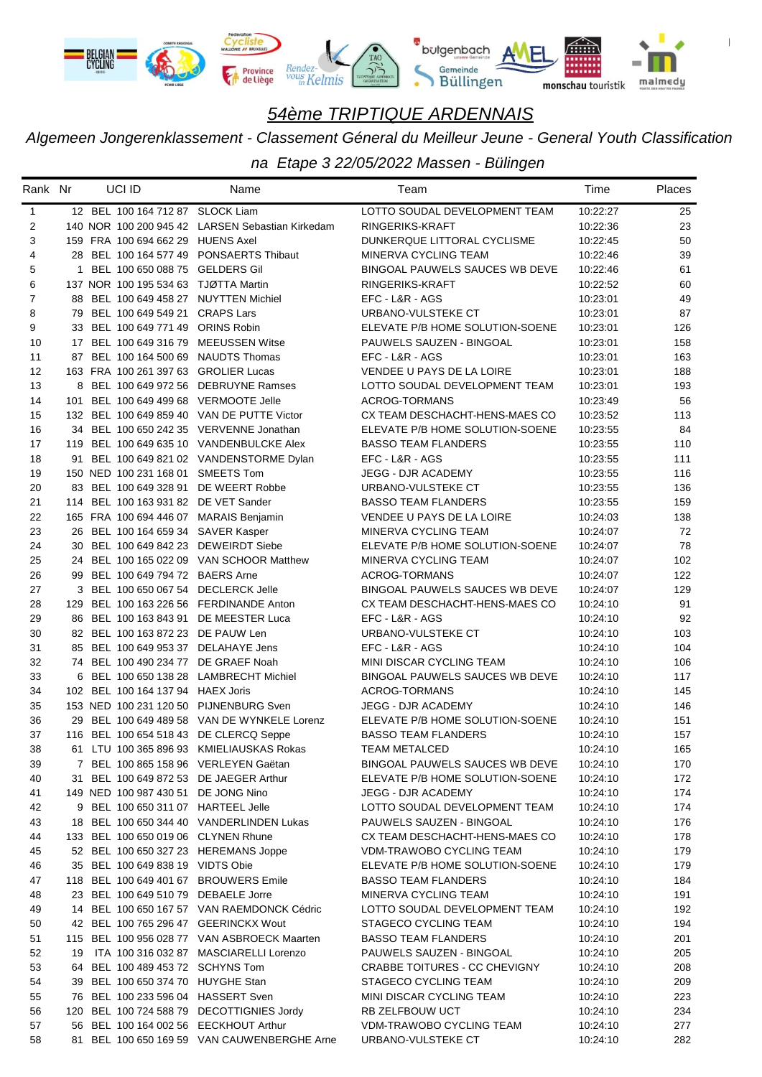

*Algemeen Jongerenklassement - Classement Géneral du Meilleur Jeune - General Youth Classification*

| Rank Nr      |    | UCI ID                               | Name                                             | Team                                  | Time                 | Places     |
|--------------|----|--------------------------------------|--------------------------------------------------|---------------------------------------|----------------------|------------|
| $\mathbf{1}$ |    | 12 BEL 100 164 712 87 SLOCK Liam     |                                                  | LOTTO SOUDAL DEVELOPMENT TEAM         | 10:22:27             | 25         |
| 2            |    |                                      | 140 NOR 100 200 945 42 LARSEN Sebastian Kirkedam | RINGERIKS-KRAFT                       | 10:22:36             | 23         |
| 3            |    | 159 FRA 100 694 662 29 HUENS Axel    |                                                  | DUNKERQUE LITTORAL CYCLISME           | 10:22:45             | 50         |
| 4            |    |                                      | 28 BEL 100 164 577 49 PONSAERTS Thibaut          | MINERVA CYCLING TEAM                  | 10:22:46             | 39         |
| 5            |    | 1 BEL 100 650 088 75 GELDERS Gil     |                                                  | <b>BINGOAL PAUWELS SAUCES WB DEVE</b> | 10:22:46             | 61         |
| 6            |    | 137 NOR 100 195 534 63 TJØTTA Martin |                                                  | RINGERIKS-KRAFT                       | 10:22:52             | 60         |
| 7            |    |                                      | 88 BEL 100 649 458 27 NUYTTEN Michiel            | EFC - L&R - AGS                       | 10:23:01             | 49         |
| 8            |    | 79 BEL 100 649 549 21 CRAPS Lars     |                                                  | URBANO-VULSTEKE CT                    | 10:23:01             | 87         |
| 9            |    | 33 BEL 100 649 771 49 ORINS Robin    |                                                  | ELEVATE P/B HOME SOLUTION-SOENE       | 10:23:01             | 126        |
| 10           |    |                                      | 17 BEL 100 649 316 79 MEEUSSEN Witse             | PAUWELS SAUZEN - BINGOAL              | 10:23:01             | 158        |
| 11           |    |                                      | 87 BEL 100 164 500 69 NAUDTS Thomas              | EFC - L&R - AGS                       | 10:23:01             | 163        |
| 12           |    |                                      | 163 FRA 100 261 397 63 GROLIER Lucas             | VENDEE U PAYS DE LA LOIRE             | 10:23:01             | 188        |
| 13           |    |                                      | 8 BEL 100 649 972 56 DEBRUYNE Ramses             | LOTTO SOUDAL DEVELOPMENT TEAM         | 10:23:01             | 193        |
| 14           |    |                                      | 101 BEL 100 649 499 68 VERMOOTE Jelle            | <b>ACROG-TORMANS</b>                  | 10:23:49             | 56         |
| 15           |    |                                      | 132 BEL 100 649 859 40 VAN DE PUTTE Victor       | CX TEAM DESCHACHT-HENS-MAES CO        | 10:23:52             | 113        |
| 16           |    |                                      | 34 BEL 100 650 242 35 VERVENNE Jonathan          | ELEVATE P/B HOME SOLUTION-SOENE       | 10:23:55             | 84         |
| 17           |    |                                      | 119 BEL 100 649 635 10 VANDENBULCKE Alex         | <b>BASSO TEAM FLANDERS</b>            | 10:23:55             | 110        |
| 18           |    |                                      | 91 BEL 100 649 821 02 VANDENSTORME Dylan         | EFC - L&R - AGS                       | 10:23:55             | 111        |
| 19           |    | 150 NED 100 231 168 01 SMEETS Tom    |                                                  | <b>JEGG - DJR ACADEMY</b>             | 10:23:55             | 116        |
| 20           |    |                                      | 83 BEL 100 649 328 91 DE WEERT Robbe             | URBANO-VULSTEKE CT                    | 10:23:55             | 136        |
| 21           |    |                                      | 114 BEL 100 163 931 82 DE VET Sander             | <b>BASSO TEAM FLANDERS</b>            | 10:23:55             | 159        |
| 22           |    |                                      | 165 FRA 100 694 446 07 MARAIS Benjamin           | VENDEE U PAYS DE LA LOIRE             | 10:24:03             | 138        |
| 23           |    | 26 BEL 100 164 659 34 SAVER Kasper   |                                                  | MINERVA CYCLING TEAM                  | 10:24:07             | 72         |
| 24           |    |                                      | 30 BEL 100 649 842 23 DEWEIRDT Siebe             | ELEVATE P/B HOME SOLUTION-SOENE       | 10:24:07             | 78         |
| 25           |    |                                      | 24 BEL 100 165 022 09 VAN SCHOOR Matthew         | MINERVA CYCLING TEAM                  | 10:24:07             | 102        |
| 26           |    | 99 BEL 100 649 794 72 BAERS Arne     |                                                  | <b>ACROG-TORMANS</b>                  | 10:24:07             | 122        |
| 27           |    |                                      | 3 BEL 100 650 067 54 DECLERCK Jelle              | BINGOAL PAUWELS SAUCES WB DEVE        | 10:24:07             | 129        |
| 28           |    |                                      | 129 BEL 100 163 226 56 FERDINANDE Anton          | CX TEAM DESCHACHT-HENS-MAES CO        | 10:24:10             | 91         |
| 29           |    |                                      | 86 BEL 100 163 843 91 DE MEESTER Luca            | EFC - L&R - AGS                       | 10:24:10             | 92         |
| 30<br>31     |    | 82 BEL 100 163 872 23 DE PAUW Len    | 85 BEL 100 649 953 37 DELAHAYE Jens              | URBANO-VULSTEKE CT<br>EFC - L&R - AGS | 10:24:10             | 103<br>104 |
| 32           |    |                                      | 74 BEL 100 490 234 77 DE GRAEF Noah              | MINI DISCAR CYCLING TEAM              | 10:24:10             |            |
| 33           |    |                                      | 6 BEL 100 650 138 28 LAMBRECHT Michiel           | BINGOAL PAUWELS SAUCES WB DEVE        | 10:24:10<br>10:24:10 | 106<br>117 |
| 34           |    | 102 BEL 100 164 137 94 HAEX Joris    |                                                  | <b>ACROG-TORMANS</b>                  | 10:24:10             | 145        |
| 35           |    |                                      | 153 NED 100 231 120 50 PIJNENBURG Sven           | <b>JEGG - DJR ACADEMY</b>             | 10:24:10             | 146        |
| 36           |    |                                      | 29 BEL 100 649 489 58 VAN DE WYNKELE Lorenz      | ELEVATE P/B HOME SOLUTION-SOENE       | 10:24:10             | 151        |
| 37           |    |                                      | 116 BEL 100 654 518 43 DE CLERCQ Seppe           | <b>BASSO TEAM FLANDERS</b>            | 10:24:10             | 157        |
| 38           |    |                                      | 61 LTU 100 365 896 93 KMIELIAUSKAS Rokas         | TEAM METALCED                         | 10:24:10             | 165        |
| 39           |    |                                      | 7 BEL 100 865 158 96 VERLEYEN Gaëtan             | BINGOAL PAUWELS SAUCES WB DEVE        | 10:24:10             | 170        |
| 40           |    |                                      | 31 BEL 100 649 872 53 DE JAEGER Arthur           | ELEVATE P/B HOME SOLUTION-SOENE       | 10:24:10             | 172        |
| 41           |    | 149 NED 100 987 430 51 DE JONG Nino  |                                                  | JEGG - DJR ACADEMY                    | 10:24:10             | 174        |
| 42           |    |                                      | 9 BEL 100 650 311 07 HARTEEL Jelle               | LOTTO SOUDAL DEVELOPMENT TEAM         | 10:24:10             | 174        |
| 43           |    |                                      | 18 BEL 100 650 344 40 VANDERLINDEN Lukas         | PAUWELS SAUZEN - BINGOAL              | 10:24:10             | 176        |
| 44           |    |                                      | 133 BEL 100 650 019 06 CLYNEN Rhune              | CX TEAM DESCHACHT-HENS-MAES CO        | 10:24:10             | 178        |
| 45           |    |                                      | 52 BEL 100 650 327 23 HEREMANS Joppe             | VDM-TRAWOBO CYCLING TEAM              | 10:24:10             | 179        |
| 46           |    | 35 BEL 100 649 838 19 VIDTS Obie     |                                                  | ELEVATE P/B HOME SOLUTION-SOENE       | 10:24:10             | 179        |
| 47           |    |                                      | 118 BEL 100 649 401 67 BROUWERS Emile            | <b>BASSO TEAM FLANDERS</b>            | 10:24:10             | 184        |
| 48           |    |                                      | 23 BEL 100 649 510 79 DEBAELE Jorre              | MINERVA CYCLING TEAM                  | 10:24:10             | 191        |
| 49           |    |                                      | 14 BEL 100 650 167 57 VAN RAEMDONCK Cédric       | LOTTO SOUDAL DEVELOPMENT TEAM         | 10:24:10             | 192        |
| 50           |    |                                      | 42 BEL 100 765 296 47 GEERINCKX Wout             | STAGECO CYCLING TEAM                  | 10:24:10             | 194        |
| 51           |    |                                      | 115 BEL 100 956 028 77 VAN ASBROECK Maarten      | <b>BASSO TEAM FLANDERS</b>            | 10:24:10             | 201        |
| 52           | 19 |                                      | ITA 100 316 032 87 MASCIARELLI Lorenzo           | PAUWELS SAUZEN - BINGOAL              | 10:24:10             | 205        |
| 53           |    | 64 BEL 100 489 453 72 SCHYNS Tom     |                                                  | CRABBE TOITURES - CC CHEVIGNY         | 10:24:10             | 208        |
| 54           |    | 39 BEL 100 650 374 70 HUYGHE Stan    |                                                  | STAGECO CYCLING TEAM                  | 10:24:10             | 209        |
| 55           |    |                                      | 76 BEL 100 233 596 04 HASSERT Sven               | MINI DISCAR CYCLING TEAM              | 10:24:10             | 223        |
| 56           |    |                                      | 120 BEL 100 724 588 79 DECOTTIGNIES Jordy        | RB ZELFBOUW UCT                       | 10:24:10             | 234        |
| 57           |    |                                      | 56 BEL 100 164 002 56 EECKHOUT Arthur            | VDM-TRAWOBO CYCLING TEAM              | 10:24:10             | 277        |
| 58           |    |                                      | 81 BEL 100 650 169 59 VAN CAUWENBERGHE Arne      | URBANO-VULSTEKE CT                    | 10:24:10             | 282        |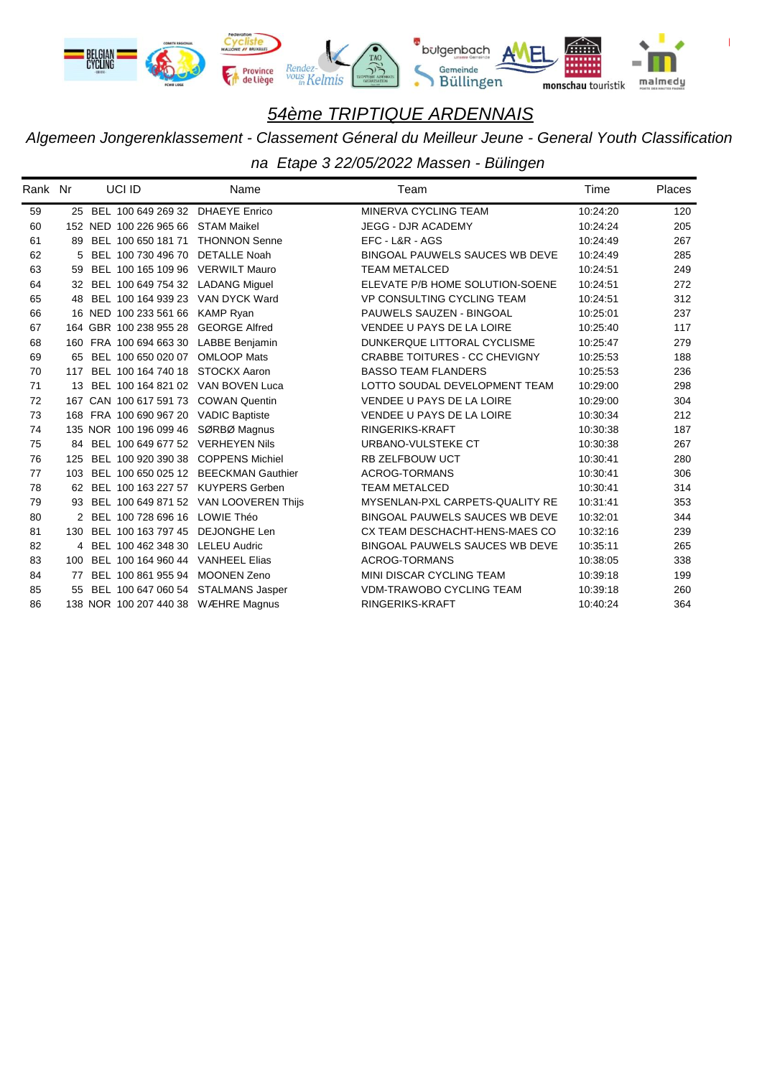

*Algemeen Jongerenklassement - Classement Géneral du Meilleur Jeune - General Youth Classification*

| Rank Nr |     | UCI ID                                 | Name                                     | Team                                  | Time     | <b>Places</b> |
|---------|-----|----------------------------------------|------------------------------------------|---------------------------------------|----------|---------------|
| 59      |     | 25 BEL 100 649 269 32 DHAEYE Enrico    |                                          | MINERVA CYCLING TEAM                  | 10:24:20 | 120           |
| 60      |     | 152 NED 100 226 965 66 STAM Maikel     |                                          | <b>JEGG - DJR ACADEMY</b>             | 10:24:24 | 205           |
| 61      |     | 89 BEL 100 650 181 71 THONNON Senne    |                                          | EFC - L&R - AGS                       | 10:24:49 | 267           |
| 62      | 5   | BEL 100 730 496 70 DETALLE Noah        |                                          | <b>BINGOAL PAUWELS SAUCES WB DEVE</b> | 10:24:49 | 285           |
| 63      |     | 59 BEL 100 165 109 96 VERWILT Mauro    |                                          | <b>TEAM METALCED</b>                  | 10:24:51 | 249           |
| 64      |     | 32 BEL 100 649 754 32 LADANG Miguel    |                                          | ELEVATE P/B HOME SOLUTION-SOENE       | 10:24:51 | 272           |
| 65      |     | 48 BEL 100 164 939 23 VAN DYCK Ward    |                                          | <b>VP CONSULTING CYCLING TEAM</b>     | 10:24:51 | 312           |
| 66      |     | 16 NED 100 233 561 66 KAMP Ryan        |                                          | PAUWELS SAUZEN - BINGOAL              | 10:25:01 | 237           |
| 67      |     | 164 GBR 100 238 955 28 GEORGE Alfred   |                                          | VENDEE U PAYS DE LA LOIRE             | 10:25:40 | 117           |
| 68      |     | 160 FRA 100 694 663 30 LABBE Benjamin  |                                          | DUNKERQUE LITTORAL CYCLISME           | 10:25:47 | 279           |
| 69      |     | 65 BEL 100 650 020 07 OMLOOP Mats      |                                          | <b>CRABBE TOITURES - CC CHEVIGNY</b>  | 10:25:53 | 188           |
| 70      |     | 117 BEL 100 164 740 18 STOCKX Aaron    |                                          | <b>BASSO TEAM FLANDERS</b>            | 10:25:53 | 236           |
| 71      |     | 13 BEL 100 164 821 02 VAN BOVEN Luca   |                                          | LOTTO SOUDAL DEVELOPMENT TEAM         | 10:29:00 | 298           |
| 72      |     | 167 CAN 100 617 591 73 COWAN Quentin   |                                          | VENDEE U PAYS DE LA LOIRE             | 10:29:00 | 304           |
| 73      |     | 168 FRA 100 690 967 20 VADIC Baptiste  |                                          | VENDEE U PAYS DE LA LOIRE             | 10:30:34 | 212           |
| 74      |     | 135 NOR 100 196 099 46 SØRBØ Magnus    |                                          | RINGERIKS-KRAFT                       | 10:30:38 | 187           |
| 75      |     | 84 BEL 100 649 677 52 VERHEYEN Nils    |                                          | URBANO-VULSTEKE CT                    | 10:30:38 | 267           |
| 76      |     | 125 BEL 100 920 390 38 COPPENS Michiel |                                          | <b>RB ZELFBOUW UCT</b>                | 10:30:41 | 280           |
| 77      |     |                                        | 103 BEL 100 650 025 12 BEECKMAN Gauthier | <b>ACROG-TORMANS</b>                  | 10:30:41 | 306           |
| 78      |     | 62 BEL 100 163 227 57 KUYPERS Gerben   |                                          | <b>TEAM METALCED</b>                  | 10:30:41 | 314           |
| 79      |     |                                        | 93 BEL 100 649 871 52 VAN LOOVEREN Thijs | MYSENLAN-PXL CARPETS-QUALITY RE       | 10:31:41 | 353           |
| 80      |     | 2 BEL 100 728 696 16 LOWIE Théo        |                                          | <b>BINGOAL PAUWELS SAUCES WB DEVE</b> | 10:32:01 | 344           |
| 81      |     | 130 BEL 100 163 797 45 DEJONGHE Len    |                                          | CX TEAM DESCHACHT-HENS-MAES CO        | 10:32:16 | 239           |
| 82      |     | 4 BEL 100 462 348 30 LELEU Audric      |                                          | BINGOAL PAUWELS SAUCES WB DEVE        | 10:35:11 | 265           |
| 83      | 100 | BEL 100 164 960 44 VANHEEL Elias       |                                          | <b>ACROG-TORMANS</b>                  | 10:38:05 | 338           |
| 84      | 77  | BEL 100 861 955 94 MOONEN Zeno         |                                          | MINI DISCAR CYCLING TEAM              | 10:39:18 | 199           |
| 85      | 55  | BEL 100 647 060 54 STALMANS Jasper     |                                          | <b>VDM-TRAWOBO CYCLING TEAM</b>       | 10:39:18 | 260           |
| 86      |     | 138 NOR 100 207 440 38 WÆHRE Magnus    |                                          | RINGERIKS-KRAFT                       | 10:40:24 | 364           |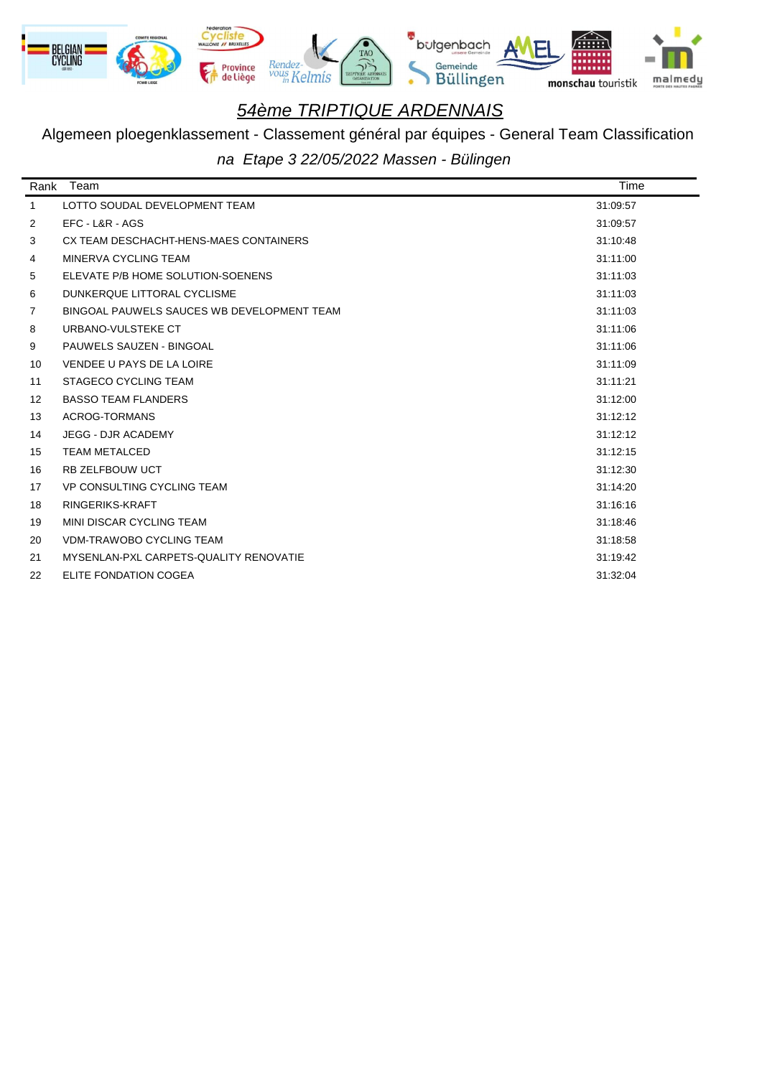

Algemeen ploegenklassement - Classement général par équipes - General Team Classification

| Rank            | Team                                       | Time     |
|-----------------|--------------------------------------------|----------|
| $\mathbf{1}$    | LOTTO SOUDAL DEVELOPMENT TEAM              | 31:09:57 |
| 2               | EFC - L&R - AGS                            | 31:09:57 |
| 3               | CX TEAM DESCHACHT-HENS-MAES CONTAINERS     | 31:10:48 |
| 4               | MINERVA CYCLING TEAM                       | 31:11:00 |
| 5               | ELEVATE P/B HOME SOLUTION-SOENENS          | 31:11:03 |
| 6               | DUNKERQUE LITTORAL CYCLISME                | 31:11:03 |
| 7               | BINGOAL PAUWELS SAUCES WB DEVELOPMENT TEAM | 31:11:03 |
| 8               | URBANO-VULSTEKE CT                         | 31:11:06 |
| 9               | PAUWELS SAUZEN - BINGOAL                   | 31:11:06 |
| 10              | VENDEE U PAYS DE LA LOIRE                  | 31:11:09 |
| 11              | <b>STAGECO CYCLING TEAM</b>                | 31:11:21 |
| 12 <sup>°</sup> | <b>BASSO TEAM FLANDERS</b>                 | 31:12:00 |
| 13              | ACROG-TORMANS                              | 31:12:12 |
| 14              | <b>JEGG - DJR ACADEMY</b>                  | 31:12:12 |
| 15              | <b>TEAM METALCED</b>                       | 31:12:15 |
| 16              | <b>RB ZELFBOUW UCT</b>                     | 31:12:30 |
| 17              | <b>VP CONSULTING CYCLING TEAM</b>          | 31:14:20 |
| 18              | RINGERIKS-KRAFT                            | 31:16:16 |
| 19              | MINI DISCAR CYCLING TEAM                   | 31:18:46 |
| 20              | <b>VDM-TRAWOBO CYCLING TEAM</b>            | 31:18:58 |
| 21              | MYSENLAN-PXL CARPETS-QUALITY RENOVATIE     | 31:19:42 |
| 22              | ELITE FONDATION COGEA                      | 31:32:04 |
|                 |                                            |          |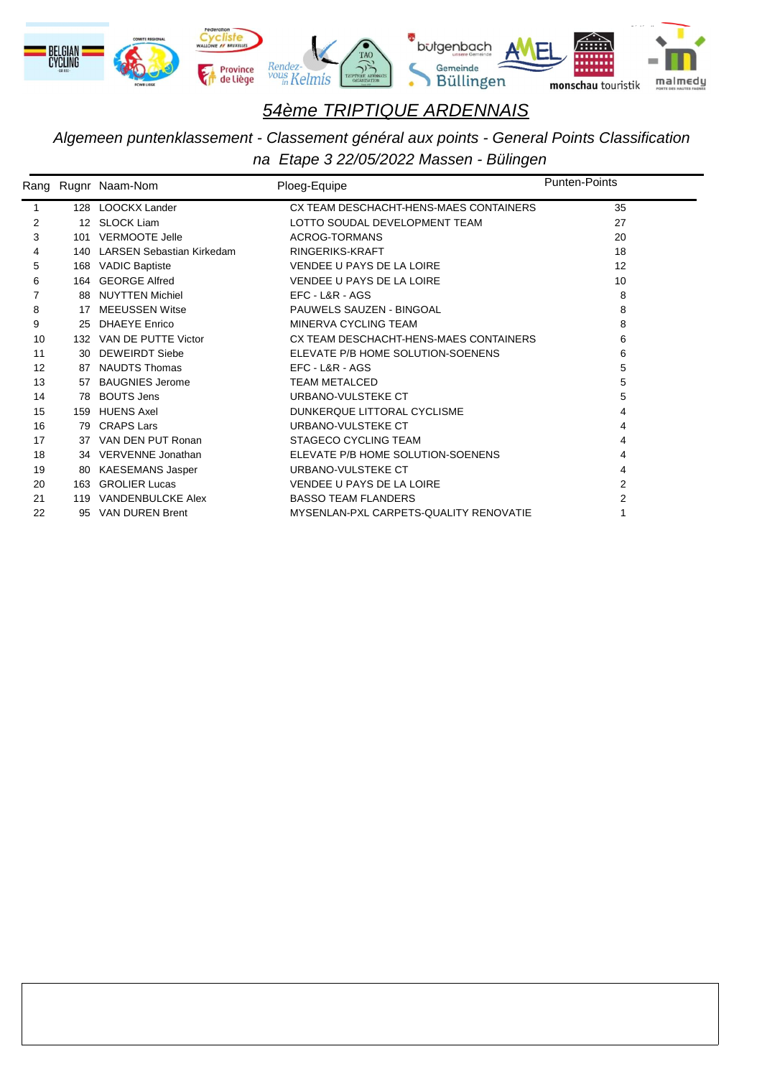

*Algemeen puntenklassement - Classement général aux points - General Points Classification na Etape 3 22/05/2022 Massen - Bülingen*

|    |    | Rang Rugnr Naam-Nom<br>Ploeg-Equipe |                                        | Punten-Points |
|----|----|-------------------------------------|----------------------------------------|---------------|
| 1  |    | 128 LOOCKX Lander                   | CX TEAM DESCHACHT-HENS-MAES CONTAINERS | 35            |
| 2  |    | 12 SLOCK Liam                       | LOTTO SOUDAL DEVELOPMENT TEAM          | 27            |
| 3  |    | 101 VERMOOTE Jelle                  | <b>ACROG-TORMANS</b>                   | 20            |
| 4  |    | 140 LARSEN Sebastian Kirkedam       | RINGERIKS-KRAFT                        | 18            |
| 5  |    | 168 VADIC Baptiste                  | VENDEE U PAYS DE LA LOIRE              | 12            |
| 6  |    | 164 GEORGE Alfred                   | VENDEE U PAYS DE LA LOIRE              | 10            |
| 7  |    | 88 NUYTTEN Michiel                  | EFC - L&R - AGS                        | 8             |
| 8  | 17 | <b>MEEUSSEN Witse</b>               | PAUWELS SAUZEN - BINGOAL               | 8             |
| 9  |    | 25 DHAEYE Enrico                    | MINERVA CYCLING TEAM                   | 8             |
| 10 |    | 132 VAN DE PUTTE Victor             | CX TEAM DESCHACHT-HENS-MAES CONTAINERS | 6             |
| 11 |    | 30 DEWEIRDT Siebe                   | ELEVATE P/B HOME SOLUTION-SOENENS      | 6             |
| 12 |    | 87 NAUDTS Thomas                    | EFC - L&R - AGS                        | 5             |
| 13 | 57 | <b>BAUGNIES Jerome</b>              | <b>TEAM METALCED</b>                   | 5             |
| 14 |    | 78 BOUTS Jens                       | URBANO-VULSTEKE CT                     | 5             |
| 15 |    | 159 HUENS Axel                      | DUNKERQUE LITTORAL CYCLISME            | 4             |
| 16 |    | 79 CRAPS Lars                       | URBANO-VULSTEKE CT                     | 4             |
| 17 |    | 37 VAN DEN PUT Ronan                | STAGECO CYCLING TEAM                   | 4             |
| 18 |    | 34 VERVENNE Jonathan                | ELEVATE P/B HOME SOLUTION-SOENENS      | 4             |
| 19 |    | 80 KAESEMANS Jasper                 | URBANO-VULSTEKE CT                     | 4             |
| 20 |    | 163 GROLIER Lucas                   | VENDEE U PAYS DE LA LOIRE              | 2             |
| 21 |    | 119 VANDENBULCKE Alex               | <b>BASSO TEAM FLANDERS</b>             | 2             |
| 22 |    | 95 VAN DUREN Brent                  | MYSENLAN-PXL CARPETS-QUALITY RENOVATIE |               |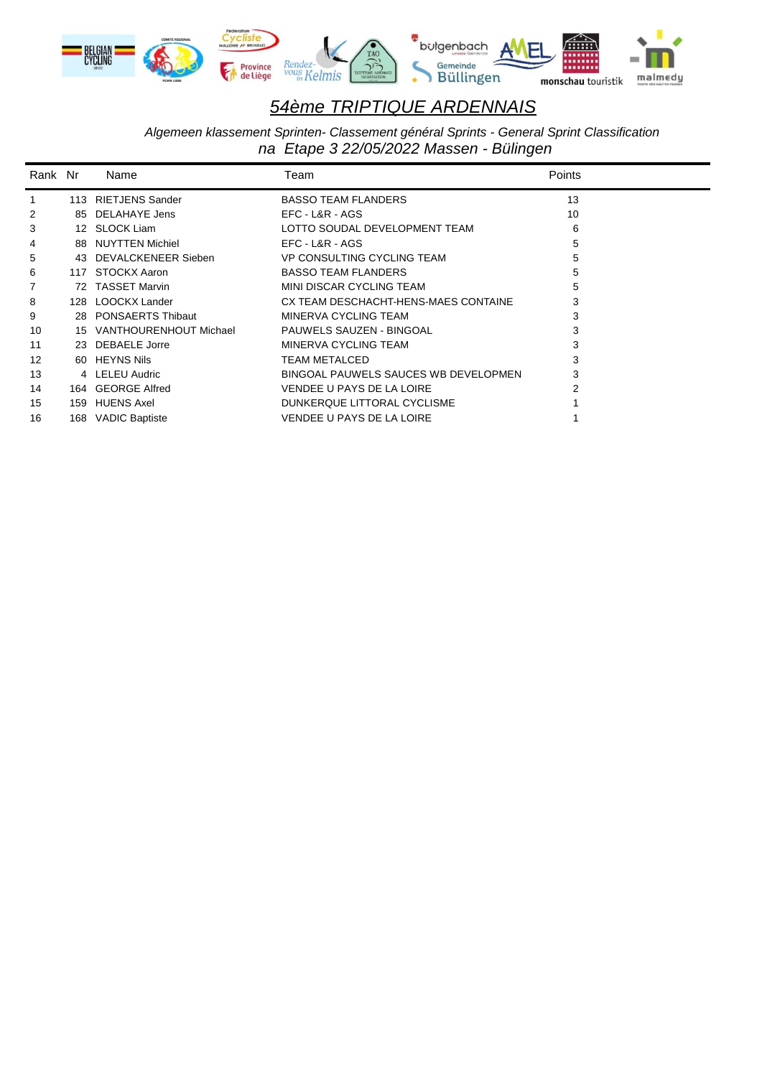

*Algemeen klassement Sprinten- Classement général Sprints - General Sprint Classification na Etape 3 22/05/2022 Massen - Bülingen*

| Rank Nr        |     | Name                      | Team                                 | <b>Points</b> |
|----------------|-----|---------------------------|--------------------------------------|---------------|
| $\mathbf{1}$   |     | 113 RIETJENS Sander       | <b>BASSO TEAM FLANDERS</b>           | 13            |
| 2              |     | 85 DELAHAYE Jens          | EFC - L&R - AGS                      | 10            |
| 3              |     | 12 SLOCK Liam             | LOTTO SOUDAL DEVELOPMENT TEAM        | 6             |
| 4              |     | 88 NUYTTEN Michiel        | EFC - L&R - AGS                      |               |
| 5              |     | 43 DEVALCKENEER Sieben    | VP CONSULTING CYCLING TEAM           | 5             |
| 6              |     | 117 STOCKX Aaron          | <b>BASSO TEAM FLANDERS</b>           | 5             |
| $\overline{7}$ |     | 72 TASSET Marvin          | MINI DISCAR CYCLING TEAM             | 5             |
| 8              |     | 128 LOOCKX Lander         | CX TEAM DESCHACHT-HENS-MAES CONTAINE | 3             |
| 9              |     | 28 PONSAERTS Thibaut      | MINERVA CYCLING TEAM                 |               |
| 10             |     | 15 VANTHOURENHOUT Michael | PAUWELS SAUZEN - BINGOAL             |               |
| 11             |     | 23 DEBAELE Jorre          | MINERVA CYCLING TEAM                 |               |
| 12             |     | 60 HEYNS Nils             | <b>TEAM METALCED</b>                 |               |
| 13             |     | 4 LELEU Audric            | BINGOAL PAUWELS SAUCES WB DEVELOPMEN |               |
| 14             |     | 164 GEORGE Alfred         | VENDEE U PAYS DE LA LOIRE            |               |
| 15             | 159 | <b>HUENS Axel</b>         | DUNKERQUE LITTORAL CYCLISME          |               |
| 16             |     | 168 VADIC Baptiste        | VENDEE U PAYS DE LA LOIRE            |               |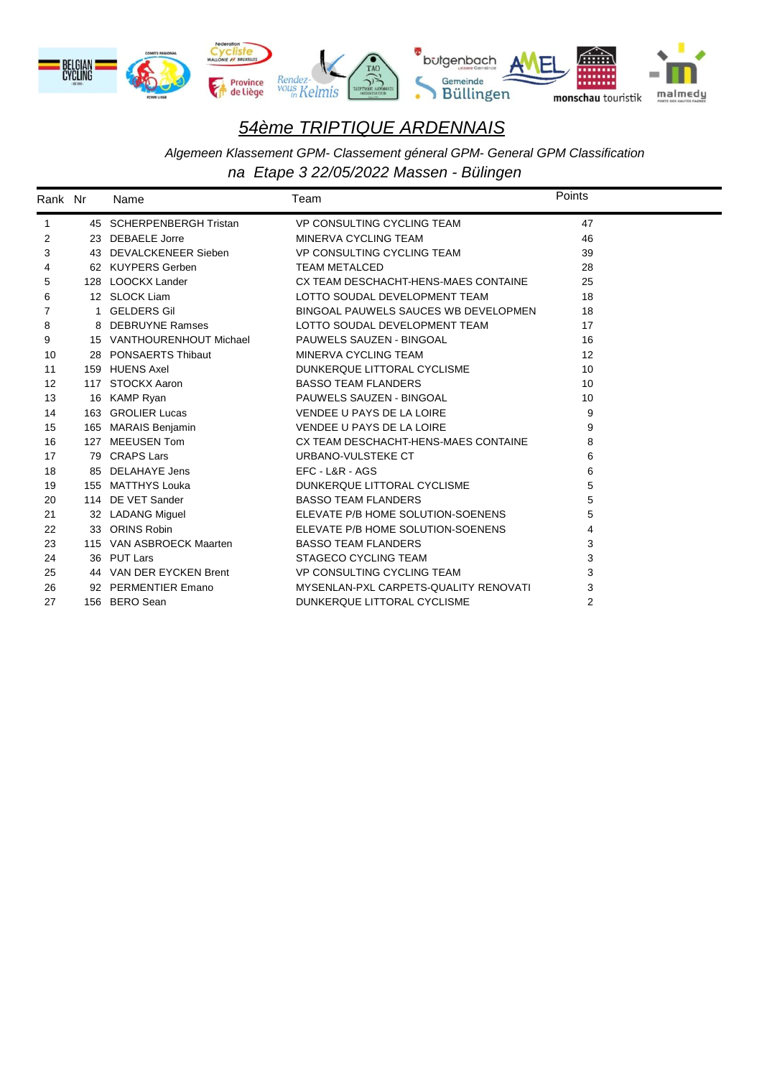

*Algemeen Klassement GPM- Classement géneral GPM- General GPM Classification*

| Rank Nr           |   | Name                      | Team                                  | Points         |
|-------------------|---|---------------------------|---------------------------------------|----------------|
| 1                 |   | 45 SCHERPENBERGH Tristan  | VP CONSULTING CYCLING TEAM            | 47             |
| 2                 |   | 23 DEBAELE Jorre          | MINERVA CYCLING TEAM                  | 46             |
| 3                 |   | 43 DEVALCKENEER Sieben    | <b>VP CONSULTING CYCLING TEAM</b>     | 39             |
| 4                 |   | 62 KUYPERS Gerben         | <b>TEAM METALCED</b>                  | 28             |
| 5                 |   | 128 LOOCKX Lander         | CX TEAM DESCHACHT-HENS-MAES CONTAINE  | 25             |
| 6                 |   | 12 SLOCK Liam             | LOTTO SOUDAL DEVELOPMENT TEAM         | 18             |
| 7                 |   | 1 GELDERS Gil             | BINGOAL PAUWELS SAUCES WB DEVELOPMEN  | 18             |
| 8                 | 8 | <b>DEBRUYNE Ramses</b>    | LOTTO SOUDAL DEVELOPMENT TEAM         | 17             |
| 9                 |   | 15 VANTHOURENHOUT Michael | PAUWELS SAUZEN - BINGOAL              | 16             |
| 10                |   | 28 PONSAERTS Thibaut      | MINERVA CYCLING TEAM                  | 12             |
| 11                |   | 159 HUENS Axel            | DUNKERQUE LITTORAL CYCLISME           | 10             |
| $12 \overline{ }$ |   | 117 STOCKX Aaron          | <b>BASSO TEAM FLANDERS</b>            | 10             |
| 13                |   | 16 KAMP Ryan              | PAUWELS SAUZEN - BINGOAL              | 10             |
| 14                |   | 163 GROLIER Lucas         | VENDEE U PAYS DE LA LOIRE             | 9              |
| 15                |   | 165 MARAIS Benjamin       | VENDEE U PAYS DE LA LOIRE             | 9              |
| 16                |   | 127 MEEUSEN Tom           | CX TEAM DESCHACHT-HENS-MAES CONTAINE  | 8              |
| 17                |   | 79 CRAPS Lars             | URBANO-VULSTEKE CT                    | 6              |
| 18                |   | 85 DELAHAYE Jens          | EFC - L&R - AGS                       | 6              |
| 19                |   | 155 MATTHYS Louka         | DUNKERQUE LITTORAL CYCLISME           | 5              |
| 20                |   | 114 DE VET Sander         | <b>BASSO TEAM FLANDERS</b>            | 5              |
| 21                |   | 32 LADANG Miguel          | ELEVATE P/B HOME SOLUTION-SOENENS     | 5              |
| 22                |   | 33 ORINS Robin            | ELEVATE P/B HOME SOLUTION-SOENENS     | 4              |
| 23                |   | 115 VAN ASBROECK Maarten  | <b>BASSO TEAM FLANDERS</b>            | 3              |
| 24                |   | 36 PUT Lars               | <b>STAGECO CYCLING TEAM</b>           | 3              |
| 25                |   | 44 VAN DER EYCKEN Brent   | <b>VP CONSULTING CYCLING TEAM</b>     | 3              |
| 26                |   | 92 PERMENTIER Emano       | MYSENLAN-PXL CARPETS-QUALITY RENOVATI | 3              |
| 27                |   | 156 BERO Sean             | DUNKERQUE LITTORAL CYCLISME           | $\overline{2}$ |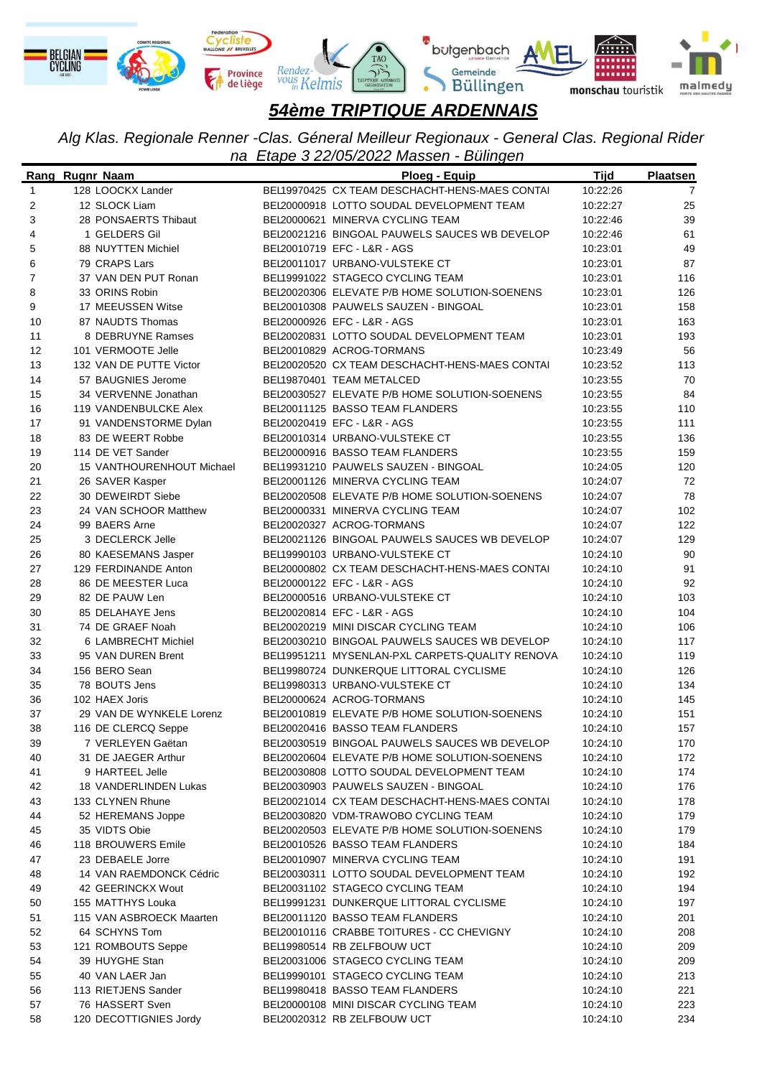

*Alg Klas. Regionale Renner -Clas. Géneral Meilleur Regionaux - General Clas. Regional Rider na Etape 3 22/05/2022 Massen - Bülingen*

|              | Rang Rugnr Naam                        | Ploeg - Equip                                                                              | <b>Tijd</b>          | <b>Plaatsen</b> |
|--------------|----------------------------------------|--------------------------------------------------------------------------------------------|----------------------|-----------------|
| $\mathbf{1}$ | 128 LOOCKX Lander                      | BEL19970425 CX TEAM DESCHACHT-HENS-MAES CONTAI                                             | 10:22:26             | 7               |
| 2            | 12 SLOCK Liam                          | BEL20000918 LOTTO SOUDAL DEVELOPMENT TEAM                                                  | 10:22:27             | 25              |
| 3            | 28 PONSAERTS Thibaut                   | BEL20000621 MINERVA CYCLING TEAM                                                           | 10:22:46             | 39              |
| 4            | 1 GELDERS Gil                          | BEL20021216 BINGOAL PAUWELS SAUCES WB DEVELOP                                              | 10:22:46             | 61              |
| 5            | 88 NUYTTEN Michiel                     | BEL20010719 EFC - L&R - AGS                                                                | 10:23:01             | 49              |
| 6            | 79 CRAPS Lars                          | BEL20011017 URBANO-VULSTEKE CT                                                             | 10:23:01             | 87              |
| 7            | 37 VAN DEN PUT Ronan                   | BEL19991022 STAGECO CYCLING TEAM                                                           | 10:23:01             | 116             |
| 8            | 33 ORINS Robin                         | BEL20020306 ELEVATE P/B HOME SOLUTION-SOENENS                                              | 10:23:01             | 126             |
| 9            | 17 MEEUSSEN Witse                      | BEL20010308 PAUWELS SAUZEN - BINGOAL                                                       | 10:23:01             | 158             |
| 10           | 87 NAUDTS Thomas                       | BEL20000926 EFC - L&R - AGS                                                                | 10:23:01             | 163             |
| 11           | 8 DEBRUYNE Ramses                      | BEL20020831 LOTTO SOUDAL DEVELOPMENT TEAM                                                  | 10:23:01             | 193             |
| 12           | 101 VERMOOTE Jelle                     | BEL20010829 ACROG-TORMANS                                                                  | 10:23:49             | 56              |
| 13           | 132 VAN DE PUTTE Victor                | BEL20020520 CX TEAM DESCHACHT-HENS-MAES CONTAI                                             | 10:23:52             | 113             |
| 14           | 57 BAUGNIES Jerome                     | BEL19870401 TEAM METALCED                                                                  | 10:23:55             | 70              |
| 15           | 34 VERVENNE Jonathan                   | BEL20030527 ELEVATE P/B HOME SOLUTION-SOENENS                                              | 10:23:55             | 84              |
| 16           | 119 VANDENBULCKE Alex                  | BEL20011125 BASSO TEAM FLANDERS                                                            | 10:23:55             | 110             |
| 17           | 91 VANDENSTORME Dylan                  | BEL20020419 EFC - L&R - AGS                                                                | 10:23:55             | 111             |
| 18           | 83 DE WEERT Robbe                      | BEL20010314 URBANO-VULSTEKE CT                                                             | 10:23:55             | 136             |
| 19           | 114 DE VET Sander                      | BEL20000916 BASSO TEAM FLANDERS                                                            | 10:23:55             | 159             |
| 20           | 15 VANTHOURENHOUT Michael              | BEL19931210 PAUWELS SAUZEN - BINGOAL                                                       | 10:24:05             | 120             |
| 21           | 26 SAVER Kasper                        | BEL20001126 MINERVA CYCLING TEAM                                                           | 10:24:07             | 72              |
| 22           | 30 DEWEIRDT Siebe                      | BEL20020508 ELEVATE P/B HOME SOLUTION-SOENENS                                              | 10:24:07             | 78              |
| 23           | 24 VAN SCHOOR Matthew                  | BEL20000331 MINERVA CYCLING TEAM                                                           | 10:24:07             | 102             |
| 24           | 99 BAERS Arne                          | BEL20020327 ACROG-TORMANS                                                                  | 10:24:07             | 122             |
| 25           | 3 DECLERCK Jelle                       | BEL20021126 BINGOAL PAUWELS SAUCES WB DEVELOP                                              | 10:24:07             | 129             |
| 26           | 80 KAESEMANS Jasper                    | BEL19990103 URBANO-VULSTEKE CT                                                             | 10:24:10             | 90              |
| 27           | 129 FERDINANDE Anton                   | BEL20000802 CX TEAM DESCHACHT-HENS-MAES CONTAI                                             | 10:24:10             | 91              |
| 28           | 86 DE MEESTER Luca                     | BEL20000122 EFC - L&R - AGS                                                                | 10:24:10             | 92              |
| 29           | 82 DE PAUW Len                         | BEL20000516 URBANO-VULSTEKE CT                                                             | 10:24:10             | 103             |
| 30           | 85 DELAHAYE Jens                       | BEL20020814 EFC - L&R - AGS                                                                | 10:24:10             | 104             |
| 31           | 74 DE GRAEF Noah                       | BEL20020219 MINI DISCAR CYCLING TEAM                                                       | 10:24:10             | 106             |
| 32           | 6 LAMBRECHT Michiel                    | BEL20030210 BINGOAL PAUWELS SAUCES WB DEVELOP                                              | 10:24:10             | 117             |
| 33           | 95 VAN DUREN Brent                     | BEL19951211 MYSENLAN-PXL CARPETS-QUALITY RENOVA                                            | 10:24:10             | 119             |
| 34           | 156 BERO Sean                          | BEL19980724 DUNKERQUE LITTORAL CYCLISME                                                    | 10:24:10             | 126             |
| 35           | 78 BOUTS Jens                          | BEL19980313 URBANO-VULSTEKE CT                                                             | 10:24:10             | 134             |
| 36           | 102 HAEX Joris                         | BEL20000624 ACROG-TORMANS                                                                  | 10:24:10             | 145             |
| 37           | 29 VAN DE WYNKELE Lorenz               | BEL20010819 ELEVATE P/B HOME SOLUTION-SOENENS<br>BEL20020416 BASSO TEAM FLANDERS           | 10:24:10             | 151             |
| 38           | 116 DE CLERCQ Seppe                    |                                                                                            | 10:24:10             | 157             |
| 39           | 7 VERLEYEN Gaëtan                      | BEL20030519 BINGOAL PAUWELS SAUCES WB DEVELOP                                              | 10:24:10             | 170             |
| 40           | 31 DE JAEGER Arthur<br>9 HARTEEL Jelle | BEL20020604 ELEVATE P/B HOME SOLUTION-SOENENS<br>BEL20030808 LOTTO SOUDAL DEVELOPMENT TEAM | 10:24:10<br>10:24:10 | 172<br>174      |
| 41           | 18 VANDERLINDEN Lukas                  | BEL20030903 PAUWELS SAUZEN - BINGOAL                                                       |                      | 176             |
| 42<br>43     | 133 CLYNEN Rhune                       | BEL20021014 CX TEAM DESCHACHT-HENS-MAES CONTAI                                             | 10:24:10<br>10:24:10 | 178             |
| 44           | 52 HEREMANS Joppe                      | BEL20030820 VDM-TRAWOBO CYCLING TEAM                                                       | 10:24:10             | 179             |
| 45           | 35 VIDTS Obie                          | BEL20020503 ELEVATE P/B HOME SOLUTION-SOENENS                                              | 10:24:10             | 179             |
| 46           | 118 BROUWERS Emile                     | BEL20010526 BASSO TEAM FLANDERS                                                            | 10:24:10             | 184             |
| 47           | 23 DEBAELE Jorre                       | BEL20010907 MINERVA CYCLING TEAM                                                           | 10:24:10             | 191             |
| 48           | 14 VAN RAEMDONCK Cédric                | BEL20030311 LOTTO SOUDAL DEVELOPMENT TEAM                                                  | 10:24:10             | 192             |
| 49           | 42 GEERINCKX Wout                      | BEL20031102 STAGECO CYCLING TEAM                                                           | 10:24:10             | 194             |
| 50           | 155 MATTHYS Louka                      | BEL19991231 DUNKERQUE LITTORAL CYCLISME                                                    | 10:24:10             | 197             |
| 51           | 115 VAN ASBROECK Maarten               | BEL20011120 BASSO TEAM FLANDERS                                                            | 10:24:10             | 201             |
| 52           | 64 SCHYNS Tom                          | BEL20010116 CRABBE TOITURES - CC CHEVIGNY                                                  | 10:24:10             | 208             |
| 53           | 121 ROMBOUTS Seppe                     | BEL19980514 RB ZELFBOUW UCT                                                                | 10:24:10             | 209             |
| 54           | 39 HUYGHE Stan                         | BEL20031006 STAGECO CYCLING TEAM                                                           | 10:24:10             | 209             |
| 55           | 40 VAN LAER Jan                        | BEL19990101 STAGECO CYCLING TEAM                                                           | 10:24:10             | 213             |
| 56           | 113 RIETJENS Sander                    | BEL19980418 BASSO TEAM FLANDERS                                                            | 10:24:10             | 221             |
| 57           | 76 HASSERT Sven                        | BEL20000108 MINI DISCAR CYCLING TEAM                                                       | 10:24:10             | 223             |
| 58           | 120 DECOTTIGNIES Jordy                 | BEL20020312 RB ZELFBOUW UCT                                                                | 10:24:10             | 234             |